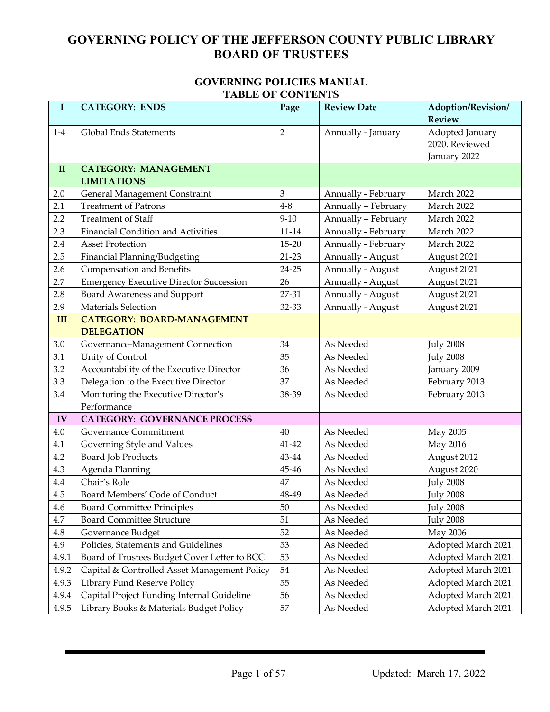#### **GOVERNING POLICIES MANUAL TABLE OF CONTENTS**

| $\bf{I}$     | <b>THDLE OF CONTRATS</b><br><b>CATEGORY: ENDS</b> | Page           | <b>Review Date</b>                | Adoption/Revision/  |
|--------------|---------------------------------------------------|----------------|-----------------------------------|---------------------|
|              |                                                   |                |                                   | <b>Review</b>       |
| $1-4$        | <b>Global Ends Statements</b>                     | $\overline{2}$ | Annually - January                | Adopted January     |
|              |                                                   |                |                                   | 2020. Reviewed      |
|              |                                                   |                |                                   | January 2022        |
| $\mathbf{I}$ | <b>CATEGORY: MANAGEMENT</b><br><b>LIMITATIONS</b> |                |                                   |                     |
| 2.0          | General Management Constraint                     | 3              | Annually - February               | March 2022          |
| 2.1          | <b>Treatment of Patrons</b>                       | $4 - 8$        | Annually - February               | March 2022          |
| 2.2          | <b>Treatment of Staff</b>                         | $9 - 10$       | Annually - February<br>March 2022 |                     |
| 2.3          | <b>Financial Condition and Activities</b>         | $11 - 14$      | Annually - February<br>March 2022 |                     |
| 2.4          | <b>Asset Protection</b>                           | $15 - 20$      | Annually - February<br>March 2022 |                     |
| 2.5          | Financial Planning/Budgeting                      | $21-23$        | Annually - August                 | August 2021         |
| 2.6          | Compensation and Benefits                         | $24 - 25$      | Annually - August                 | August 2021         |
| 2.7          | <b>Emergency Executive Director Succession</b>    | 26             | Annually - August                 | August 2021         |
| 2.8          | <b>Board Awareness and Support</b>                | 27-31          | Annually - August                 | August 2021         |
| 2.9          | <b>Materials Selection</b>                        | 32-33          | Annually - August                 | August 2021         |
| III          | <b>CATEGORY: BOARD-MANAGEMENT</b>                 |                |                                   |                     |
|              | <b>DELEGATION</b>                                 |                |                                   |                     |
| 3.0          | Governance-Management Connection                  | 34             | As Needed                         | <b>July 2008</b>    |
| 3.1          | Unity of Control                                  | 35             | As Needed                         | <b>July 2008</b>    |
| 3.2          | Accountability of the Executive Director          | 36             | As Needed                         | January 2009        |
| 3.3          | Delegation to the Executive Director              | 37             | As Needed                         | February 2013       |
| 3.4          | Monitoring the Executive Director's               | 38-39          | As Needed                         | February 2013       |
|              | Performance                                       |                |                                   |                     |
| IV           | <b>CATEGORY: GOVERNANCE PROCESS</b>               |                |                                   |                     |
| 4.0          | <b>Governance Commitment</b>                      | 40             | As Needed                         | May 2005            |
| 4.1          | Governing Style and Values                        | 41-42          | As Needed                         | May 2016            |
| 4.2          | <b>Board Job Products</b>                         | 43-44          | As Needed                         | August 2012         |
| 4.3          | Agenda Planning                                   | 45-46          | As Needed                         | August 2020         |
| 4.4          | Chair's Role                                      | 47             | As Needed                         | <b>July 2008</b>    |
| 4.5          | Board Members' Code of Conduct                    | 48-49          | As Needed                         | <b>July 2008</b>    |
| 4.6          | <b>Board Committee Principles</b>                 | $50\,$         | As Needed                         | <b>July 2008</b>    |
| 4.7          | <b>Board Committee Structure</b>                  | 51             | As Needed                         | <b>July 2008</b>    |
| 4.8          | Governance Budget                                 | 52             | As Needed                         | May 2006            |
| 4.9          | Policies, Statements and Guidelines               | 53             | As Needed                         | Adopted March 2021. |
| 4.9.1        | Board of Trustees Budget Cover Letter to BCC      | 53             | As Needed                         | Adopted March 2021. |
| 4.9.2        | Capital & Controlled Asset Management Policy      | 54             | As Needed                         | Adopted March 2021. |
| 4.9.3        | Library Fund Reserve Policy                       | 55             | As Needed                         | Adopted March 2021. |
| 4.9.4        | Capital Project Funding Internal Guideline        | 56             | As Needed                         | Adopted March 2021. |
| 4.9.5        | Library Books & Materials Budget Policy           | 57             | As Needed                         | Adopted March 2021. |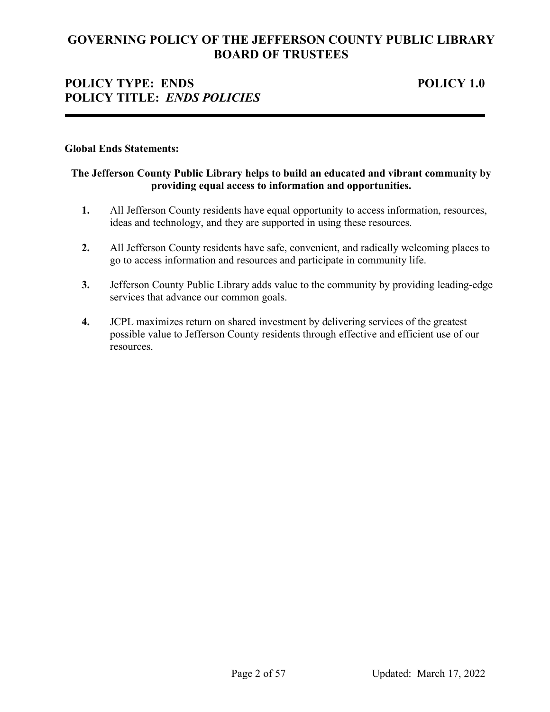## **POLICY TYPE: ENDS POLICY 1.0 POLICY TITLE:** *ENDS POLICIES*

#### **Global Ends Statements:**

## **The Jefferson County Public Library helps to build an educated and vibrant community by providing equal access to information and opportunities.**

- **1.** All Jefferson County residents have equal opportunity to access information, resources, ideas and technology, and they are supported in using these resources.
- **2.** All Jefferson County residents have safe, convenient, and radically welcoming places to go to access information and resources and participate in community life.
- **3.** Jefferson County Public Library adds value to the community by providing leading-edge services that advance our common goals.
- **4.** JCPL maximizes return on shared investment by delivering services of the greatest possible value to Jefferson County residents through effective and efficient use of our resources.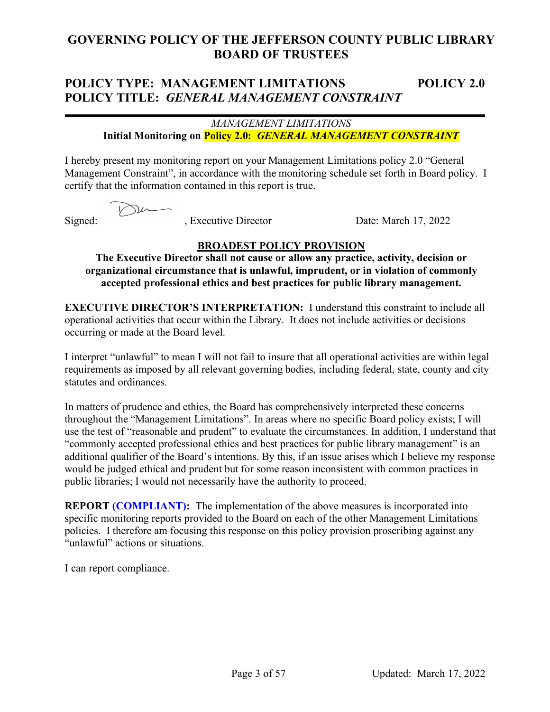# **POLICY TYPE: MANAGEMENT LIMITATIONS POLICY 2.0 POLICY TITLE:** *GENERAL MANAGEMENT CONSTRAINT*

## *MANAGEMENT LIMITATIONS* **Initial Monitoring on Policy 2.0:** *GENERAL MANAGEMENT CONSTRAINT*

I hereby present my monitoring report on your Management Limitations policy 2.0 "General Management Constraint", in accordance with the monitoring schedule set forth in Board policy. I certify that the information contained in this report is true.

Signed: , Executive Director Date: March 17, 2022

## **BROADEST POLICY PROVISION**

**The Executive Director shall not cause or allow any practice, activity, decision or organizational circumstance that is unlawful, imprudent, or in violation of commonly accepted professional ethics and best practices for public library management.**

**EXECUTIVE DIRECTOR'S INTERPRETATION:** I understand this constraint to include all operational activities that occur within the Library. It does not include activities or decisions occurring or made at the Board level.

I interpret "unlawful" to mean I will not fail to insure that all operational activities are within legal requirements as imposed by all relevant governing bodies, including federal, state, county and city statutes and ordinances.

In matters of prudence and ethics, the Board has comprehensively interpreted these concerns throughout the "Management Limitations". In areas where no specific Board policy exists; I will use the test of "reasonable and prudent" to evaluate the circumstances. In addition, I understand that "commonly accepted professional ethics and best practices for public library management" is an additional qualifier of the Board's intentions. By this, if an issue arises which I believe my response would be judged ethical and prudent but for some reason inconsistent with common practices in public libraries; I would not necessarily have the authority to proceed.

**REPORT (COMPLIANT):** The implementation of the above measures is incorporated into specific monitoring reports provided to the Board on each of the other Management Limitations policies. I therefore am focusing this response on this policy provision proscribing against any "unlawful" actions or situations.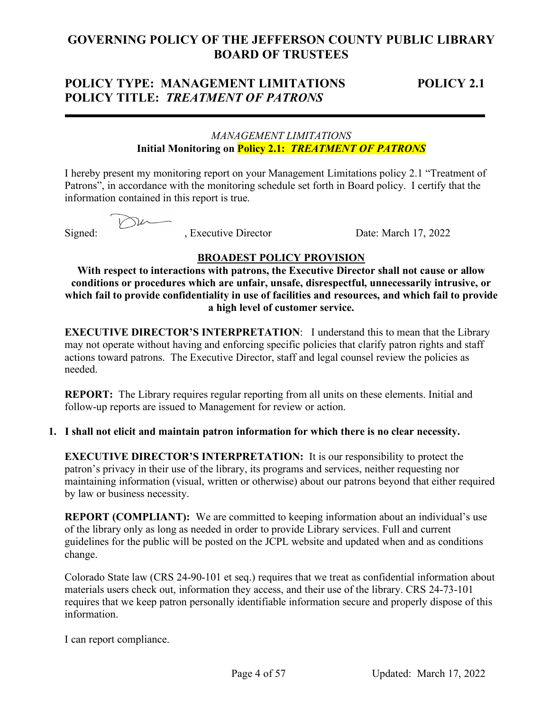## **POLICY TYPE: MANAGEMENT LIMITATIONS POLICY 2.1 POLICY TITLE:** *TREATMENT OF PATRONS*

## *MANAGEMENT LIMITATIONS* **Initial Monitoring on Policy 2.1:** *TREATMENT OF PATRONS*

I hereby present my monitoring report on your Management Limitations policy 2.1 "Treatment of Patrons", in accordance with the monitoring schedule set forth in Board policy. I certify that the information contained in this report is true.

Der

Signed: , Executive Director Date: March 17, 2022

## **BROADEST POLICY PROVISION**

**With respect to interactions with patrons, the Executive Director shall not cause or allow conditions or procedures which are unfair, unsafe, disrespectful, unnecessarily intrusive, or which fail to provide confidentiality in use of facilities and resources, and which fail to provide a high level of customer service.**

**EXECUTIVE DIRECTOR'S INTERPRETATION:** I understand this to mean that the Library may not operate without having and enforcing specific policies that clarify patron rights and staff actions toward patrons. The Executive Director, staff and legal counsel review the policies as needed.

**REPORT:** The Library requires regular reporting from all units on these elements. Initial and follow-up reports are issued to Management for review or action.

**1. I shall not elicit and maintain patron information for which there is no clear necessity.**

**EXECUTIVE DIRECTOR'S INTERPRETATION:** It is our responsibility to protect the patron's privacy in their use of the library, its programs and services, neither requesting nor maintaining information (visual, written or otherwise) about our patrons beyond that either required by law or business necessity.

**REPORT (COMPLIANT):** We are committed to keeping information about an individual's use of the library only as long as needed in order to provide Library services. Full and current guidelines for the public will be posted on the JCPL website and updated when and as conditions change.

Colorado State law (CRS 24-90-101 et seq.) requires that we treat as confidential information about materials users check out, information they access, and their use of the library. CRS 24-73-101 requires that we keep patron personally identifiable information secure and properly dispose of this information.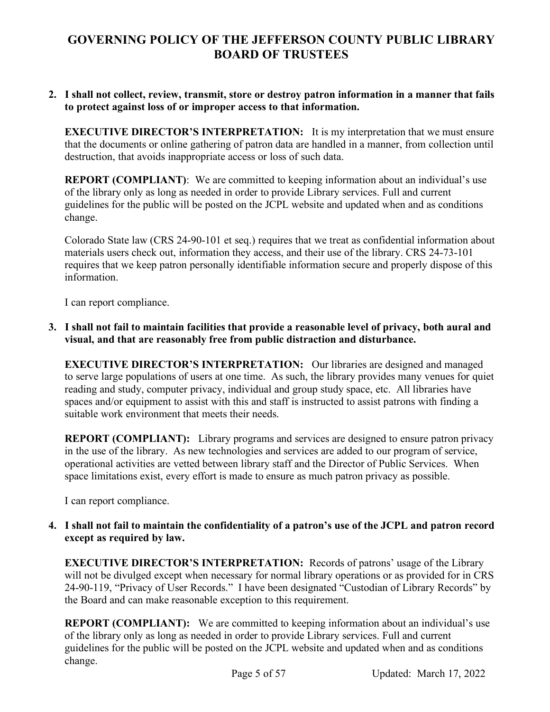## **2. I shall not collect, review, transmit, store or destroy patron information in a manner that fails to protect against loss of or improper access to that information.**

**EXECUTIVE DIRECTOR'S INTERPRETATION:** It is my interpretation that we must ensure that the documents or online gathering of patron data are handled in a manner, from collection until destruction, that avoids inappropriate access or loss of such data.

**REPORT (COMPLIANT)**: We are committed to keeping information about an individual's use of the library only as long as needed in order to provide Library services. Full and current guidelines for the public will be posted on the JCPL website and updated when and as conditions change.

Colorado State law (CRS 24-90-101 et seq.) requires that we treat as confidential information about materials users check out, information they access, and their use of the library. CRS 24-73-101 requires that we keep patron personally identifiable information secure and properly dispose of this information.

I can report compliance.

## **3. I shall not fail to maintain facilities that provide a reasonable level of privacy, both aural and visual, and that are reasonably free from public distraction and disturbance.**

**EXECUTIVE DIRECTOR'S INTERPRETATION:** Our libraries are designed and managed to serve large populations of users at one time. As such, the library provides many venues for quiet reading and study, computer privacy, individual and group study space, etc. All libraries have spaces and/or equipment to assist with this and staff is instructed to assist patrons with finding a suitable work environment that meets their needs.

**REPORT (COMPLIANT):** Library programs and services are designed to ensure patron privacy in the use of the library. As new technologies and services are added to our program of service, operational activities are vetted between library staff and the Director of Public Services. When space limitations exist, every effort is made to ensure as much patron privacy as possible.

I can report compliance.

## **4. I shall not fail to maintain the confidentiality of a patron's use of the JCPL and patron record except as required by law.**

**EXECUTIVE DIRECTOR'S INTERPRETATION:** Records of patrons' usage of the Library will not be divulged except when necessary for normal library operations or as provided for in CRS 24-90-119, "Privacy of User Records." I have been designated "Custodian of Library Records" by the Board and can make reasonable exception to this requirement.

**REPORT (COMPLIANT):** We are committed to keeping information about an individual's use of the library only as long as needed in order to provide Library services. Full and current guidelines for the public will be posted on the JCPL website and updated when and as conditions change.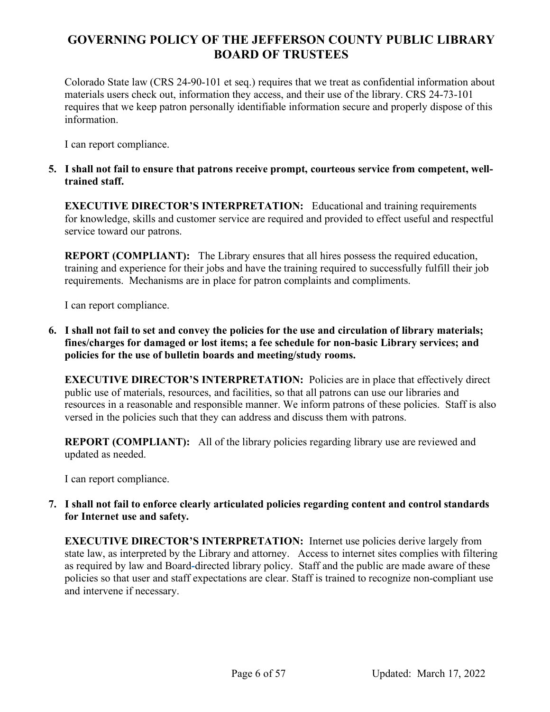Colorado State law (CRS 24-90-101 et seq.) requires that we treat as confidential information about materials users check out, information they access, and their use of the library. CRS 24-73-101 requires that we keep patron personally identifiable information secure and properly dispose of this information.

I can report compliance.

**5. I shall not fail to ensure that patrons receive prompt, courteous service from competent, welltrained staff.**

**EXECUTIVE DIRECTOR'S INTERPRETATION:** Educational and training requirements for knowledge, skills and customer service are required and provided to effect useful and respectful service toward our patrons.

**REPORT (COMPLIANT):** The Library ensures that all hires possess the required education, training and experience for their jobs and have the training required to successfully fulfill their job requirements. Mechanisms are in place for patron complaints and compliments.

I can report compliance.

**6. I shall not fail to set and convey the policies for the use and circulation of library materials; fines/charges for damaged or lost items; a fee schedule for non-basic Library services; and policies for the use of bulletin boards and meeting/study rooms.**

**EXECUTIVE DIRECTOR'S INTERPRETATION:** Policies are in place that effectively direct public use of materials, resources, and facilities, so that all patrons can use our libraries and resources in a reasonable and responsible manner. We inform patrons of these policies. Staff is also versed in the policies such that they can address and discuss them with patrons.

**REPORT (COMPLIANT):** All of the library policies regarding library use are reviewed and updated as needed.

I can report compliance.

**7. I shall not fail to enforce clearly articulated policies regarding content and control standards for Internet use and safety.**

**EXECUTIVE DIRECTOR'S INTERPRETATION:** Internet use policies derive largely from state law, as interpreted by the Library and attorney. Access to internet sites complies with filtering as required by law and Board**-**directed library policy. Staff and the public are made aware of these policies so that user and staff expectations are clear. Staff is trained to recognize non-compliant use and intervene if necessary.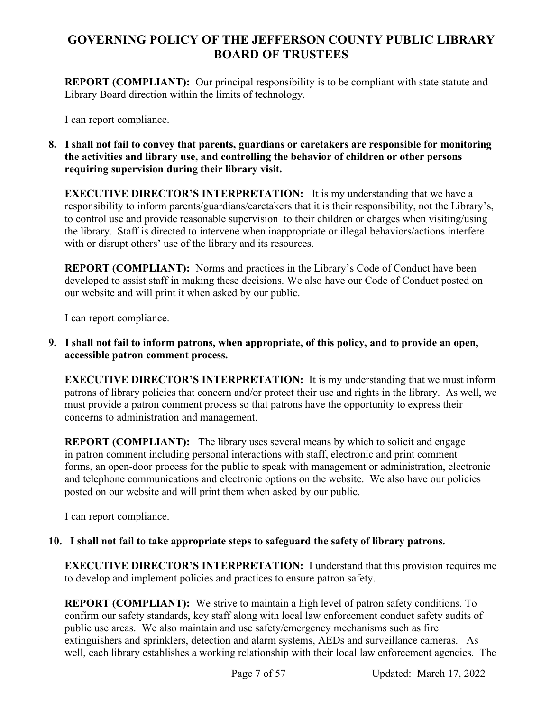**REPORT (COMPLIANT):** Our principal responsibility is to be compliant with state statute and Library Board direction within the limits of technology.

I can report compliance.

**8. I shall not fail to convey that parents, guardians or caretakers are responsible for monitoring the activities and library use, and controlling the behavior of children or other persons requiring supervision during their library visit.** 

**EXECUTIVE DIRECTOR'S INTERPRETATION:** It is my understanding that we have a responsibility to inform parents/guardians/caretakers that it is their responsibility, not the Library's, to control use and provide reasonable supervision to their children or charges when visiting/using the library. Staff is directed to intervene when inappropriate or illegal behaviors/actions interfere with or disrupt others' use of the library and its resources.

**REPORT (COMPLIANT):** Norms and practices in the Library's Code of Conduct have been developed to assist staff in making these decisions. We also have our Code of Conduct posted on our website and will print it when asked by our public.

I can report compliance.

**9. I shall not fail to inform patrons, when appropriate, of this policy, and to provide an open, accessible patron comment process.** 

**EXECUTIVE DIRECTOR'S INTERPRETATION:** It is my understanding that we must inform patrons of library policies that concern and/or protect their use and rights in the library. As well, we must provide a patron comment process so that patrons have the opportunity to express their concerns to administration and management.

**REPORT (COMPLIANT):** The library uses several means by which to solicit and engage in patron comment including personal interactions with staff, electronic and print comment forms, an open-door process for the public to speak with management or administration, electronic and telephone communications and electronic options on the website. We also have our policies posted on our website and will print them when asked by our public.

I can report compliance.

## **10. I shall not fail to take appropriate steps to safeguard the safety of library patrons.**

**EXECUTIVE DIRECTOR'S INTERPRETATION:** I understand that this provision requires me to develop and implement policies and practices to ensure patron safety.

**REPORT (COMPLIANT):** We strive to maintain a high level of patron safety conditions. To confirm our safety standards, key staff along with local law enforcement conduct safety audits of public use areas. We also maintain and use safety/emergency mechanisms such as fire extinguishers and sprinklers, detection and alarm systems, AEDs and surveillance cameras. As well, each library establishes a working relationship with their local law enforcement agencies. The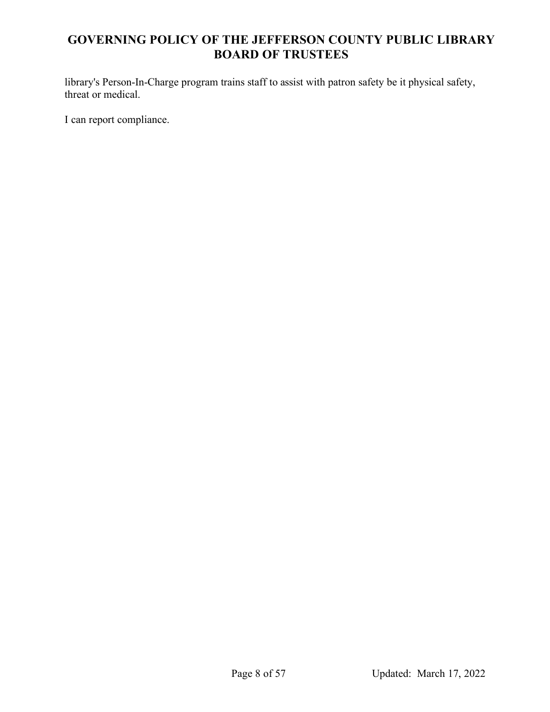library's Person-In-Charge program trains staff to assist with patron safety be it physical safety, threat or medical.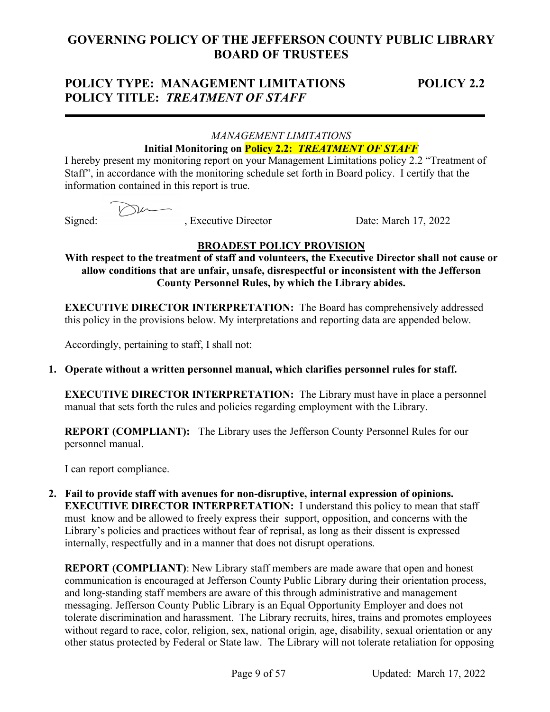## **POLICY TYPE: MANAGEMENT LIMITATIONS POLICY 2.2 POLICY TITLE:** *TREATMENT OF STAFF*

## *MANAGEMENT LIMITATIONS*  **Initial Monitoring on Policy 2.2:** *TREATMENT OF STAFF*

I hereby present my monitoring report on your Management Limitations policy 2.2 "Treatment of Staff", in accordance with the monitoring schedule set forth in Board policy. I certify that the information contained in this report is true.

 $\nabla$ 

Signed: , Executive Director Date: March 17, 2022

## **BROADEST POLICY PROVISION**

**With respect to the treatment of staff and volunteers, the Executive Director shall not cause or allow conditions that are unfair, unsafe, disrespectful or inconsistent with the Jefferson County Personnel Rules, by which the Library abides.**

**EXECUTIVE DIRECTOR INTERPRETATION:** The Board has comprehensively addressed this policy in the provisions below. My interpretations and reporting data are appended below.

Accordingly, pertaining to staff, I shall not:

## **1. Operate without a written personnel manual, which clarifies personnel rules for staff.**

**EXECUTIVE DIRECTOR INTERPRETATION:** The Library must have in place a personnel manual that sets forth the rules and policies regarding employment with the Library.

**REPORT (COMPLIANT):** The Library uses the Jefferson County Personnel Rules for our personnel manual.

I can report compliance.

**2. Fail to provide staff with avenues for non-disruptive, internal expression of opinions. EXECUTIVE DIRECTOR INTERPRETATION:** I understand this policy to mean that staff must know and be allowed to freely express their support, opposition, and concerns with the Library's policies and practices without fear of reprisal, as long as their dissent is expressed internally, respectfully and in a manner that does not disrupt operations.

**REPORT (COMPLIANT)**: New Library staff members are made aware that open and honest communication is encouraged at Jefferson County Public Library during their orientation process, and long-standing staff members are aware of this through administrative and management messaging. Jefferson County Public Library is an Equal Opportunity Employer and does not tolerate discrimination and harassment. The Library recruits, hires, trains and promotes employees without regard to race, color, religion, sex, national origin, age, disability, sexual orientation or any other status protected by Federal or State law. The Library will not tolerate retaliation for opposing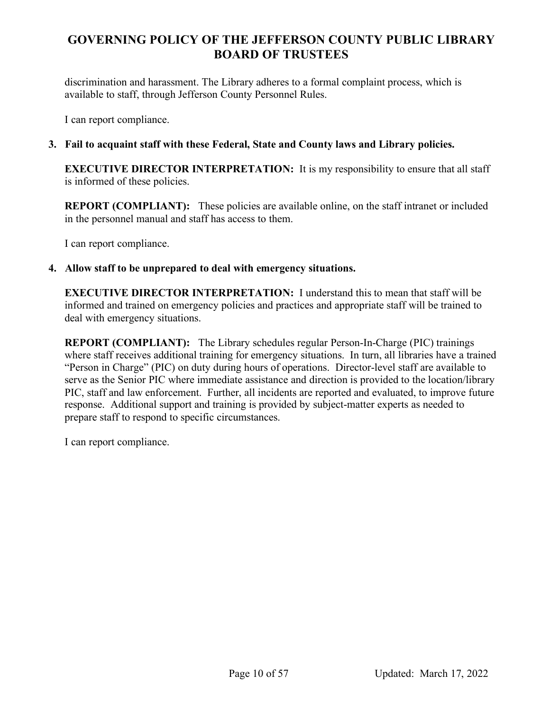discrimination and harassment. The Library adheres to a formal complaint process, which is available to staff, through Jefferson County Personnel Rules.

I can report compliance.

## **3. Fail to acquaint staff with these Federal, State and County laws and Library policies.**

**EXECUTIVE DIRECTOR INTERPRETATION:** It is my responsibility to ensure that all staff is informed of these policies.

**REPORT (COMPLIANT):** These policies are available online, on the staff intranet or included in the personnel manual and staff has access to them.

I can report compliance.

#### **4. Allow staff to be unprepared to deal with emergency situations.**

**EXECUTIVE DIRECTOR INTERPRETATION:** I understand this to mean that staff will be informed and trained on emergency policies and practices and appropriate staff will be trained to deal with emergency situations.

**REPORT (COMPLIANT):** The Library schedules regular Person-In-Charge (PIC) trainings where staff receives additional training for emergency situations. In turn, all libraries have a trained "Person in Charge" (PIC) on duty during hours of operations. Director-level staff are available to serve as the Senior PIC where immediate assistance and direction is provided to the location/library PIC, staff and law enforcement. Further, all incidents are reported and evaluated, to improve future response. Additional support and training is provided by subject-matter experts as needed to prepare staff to respond to specific circumstances.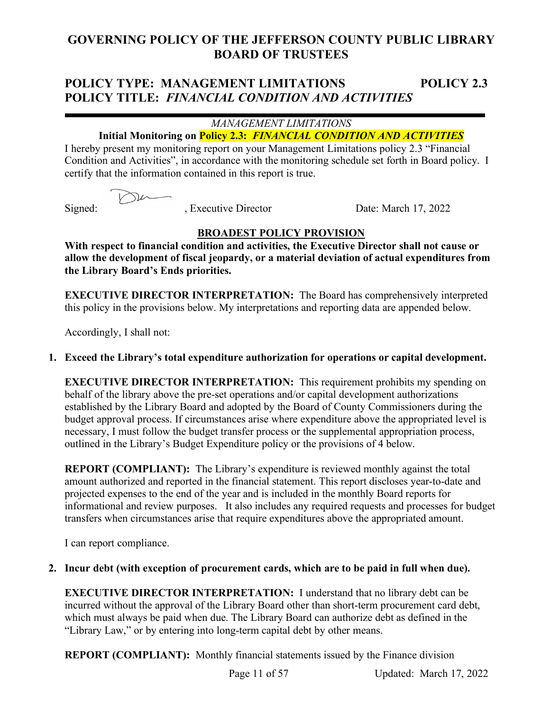# **POLICY TYPE: MANAGEMENT LIMITATIONS POLICY 2.3 POLICY TITLE:** *FINANCIAL CONDITION AND ACTIVITIES*

## *MANAGEMENT LIMITATIONS*

## **Initial Monitoring on Policy 2.3:** *FINANCIAL CONDITION AND ACTIVITIES*

I hereby present my monitoring report on your Management Limitations policy 2.3 "Financial Condition and Activities", in accordance with the monitoring schedule set forth in Board policy. I certify that the information contained in this report is true.

Signed: , Executive Director Date: March 17, 2022

## **BROADEST POLICY PROVISION**

**With respect to financial condition and activities, the Executive Director shall not cause or allow the development of fiscal jeopardy, or a material deviation of actual expenditures from the Library Board's Ends priorities.**

**EXECUTIVE DIRECTOR INTERPRETATION:** The Board has comprehensively interpreted this policy in the provisions below. My interpretations and reporting data are appended below.

Accordingly, I shall not:

## **1. Exceed the Library's total expenditure authorization for operations or capital development.**

**EXECUTIVE DIRECTOR INTERPRETATION:** This requirement prohibits my spending on behalf of the library above the pre-set operations and/or capital development authorizations established by the Library Board and adopted by the Board of County Commissioners during the budget approval process. If circumstances arise where expenditure above the appropriated level is necessary, I must follow the budget transfer process or the supplemental appropriation process, outlined in the Library's Budget Expenditure policy or the provisions of 4 below.

**REPORT (COMPLIANT):** The Library's expenditure is reviewed monthly against the total amount authorized and reported in the financial statement. This report discloses year-to-date and projected expenses to the end of the year and is included in the monthly Board reports for informational and review purposes. It also includes any required requests and processes for budget transfers when circumstances arise that require expenditures above the appropriated amount.

I can report compliance.

## **2. Incur debt (with exception of procurement cards, which are to be paid in full when due).**

**EXECUTIVE DIRECTOR INTERPRETATION:** I understand that no library debt can be incurred without the approval of the Library Board other than short-term procurement card debt, which must always be paid when due. The Library Board can authorize debt as defined in the "Library Law," or by entering into long-term capital debt by other means.

**REPORT (COMPLIANT):** Monthly financial statements issued by the Finance division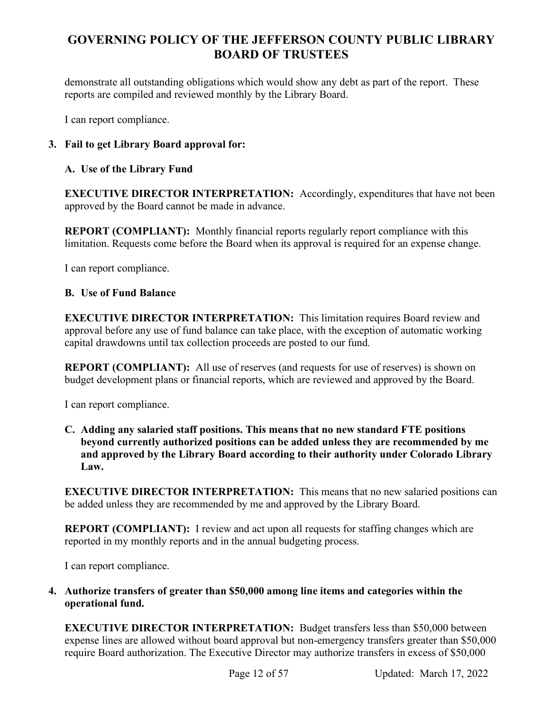demonstrate all outstanding obligations which would show any debt as part of the report. These reports are compiled and reviewed monthly by the Library Board.

I can report compliance.

## **3. Fail to get Library Board approval for:**

## **A. Use of the Library Fund**

**EXECUTIVE DIRECTOR INTERPRETATION:** Accordingly, expenditures that have not been approved by the Board cannot be made in advance.

**REPORT (COMPLIANT):** Monthly financial reports regularly report compliance with this limitation. Requests come before the Board when its approval is required for an expense change.

I can report compliance.

## **B. Use of Fund Balance**

**EXECUTIVE DIRECTOR INTERPRETATION:** This limitation requires Board review and approval before any use of fund balance can take place, with the exception of automatic working capital drawdowns until tax collection proceeds are posted to our fund.

**REPORT (COMPLIANT):** All use of reserves (and requests for use of reserves) is shown on budget development plans or financial reports, which are reviewed and approved by the Board.

I can report compliance.

**C. Adding any salaried staff positions. This means that no new standard FTE positions beyond currently authorized positions can be added unless they are recommended by me and approved by the Library Board according to their authority under Colorado Library Law.** 

**EXECUTIVE DIRECTOR INTERPRETATION:** This means that no new salaried positions can be added unless they are recommended by me and approved by the Library Board.

**REPORT (COMPLIANT):** I review and act upon all requests for staffing changes which are reported in my monthly reports and in the annual budgeting process.

I can report compliance.

**4. Authorize transfers of greater than \$50,000 among line items and categories within the operational fund.** 

**EXECUTIVE DIRECTOR INTERPRETATION:** Budget transfers less than \$50,000 between expense lines are allowed without board approval but non-emergency transfers greater than \$50,000 require Board authorization. The Executive Director may authorize transfers in excess of \$50,000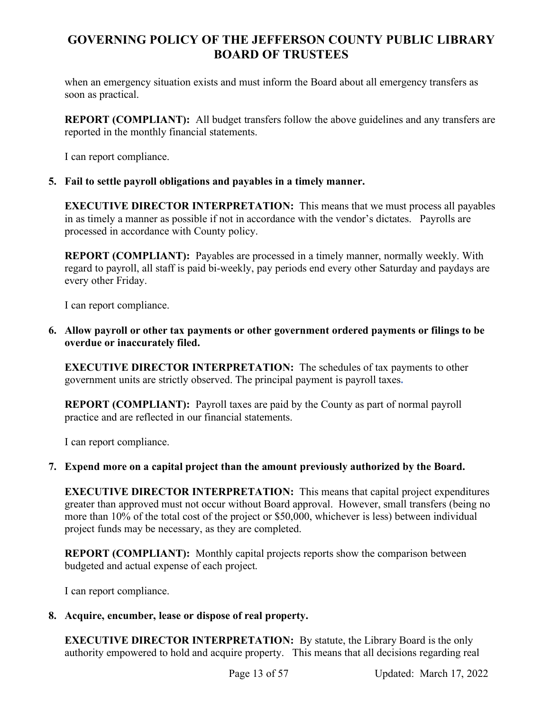when an emergency situation exists and must inform the Board about all emergency transfers as soon as practical.

**REPORT (COMPLIANT):** All budget transfers follow the above guidelines and any transfers are reported in the monthly financial statements.

I can report compliance.

## **5. Fail to settle payroll obligations and payables in a timely manner.**

**EXECUTIVE DIRECTOR INTERPRETATION:** This means that we must process all payables in as timely a manner as possible if not in accordance with the vendor's dictates. Payrolls are processed in accordance with County policy.

**REPORT (COMPLIANT):** Payables are processed in a timely manner, normally weekly. With regard to payroll, all staff is paid bi-weekly, pay periods end every other Saturday and paydays are every other Friday.

I can report compliance.

**6. Allow payroll or other tax payments or other government ordered payments or filings to be overdue or inaccurately filed.**

**EXECUTIVE DIRECTOR INTERPRETATION:** The schedules of tax payments to other government units are strictly observed. The principal payment is payroll taxes**.**

**REPORT (COMPLIANT):** Payroll taxes are paid by the County as part of normal payroll practice and are reflected in our financial statements.

I can report compliance.

## **7. Expend more on a capital project than the amount previously authorized by the Board.**

**EXECUTIVE DIRECTOR INTERPRETATION:** This means that capital project expenditures greater than approved must not occur without Board approval. However, small transfers (being no more than 10% of the total cost of the project or \$50,000, whichever is less) between individual project funds may be necessary, as they are completed.

**REPORT (COMPLIANT):** Monthly capital projects reports show the comparison between budgeted and actual expense of each project.

I can report compliance.

## **8. Acquire, encumber, lease or dispose of real property.**

**EXECUTIVE DIRECTOR INTERPRETATION:** By statute, the Library Board is the only authority empowered to hold and acquire property. This means that all decisions regarding real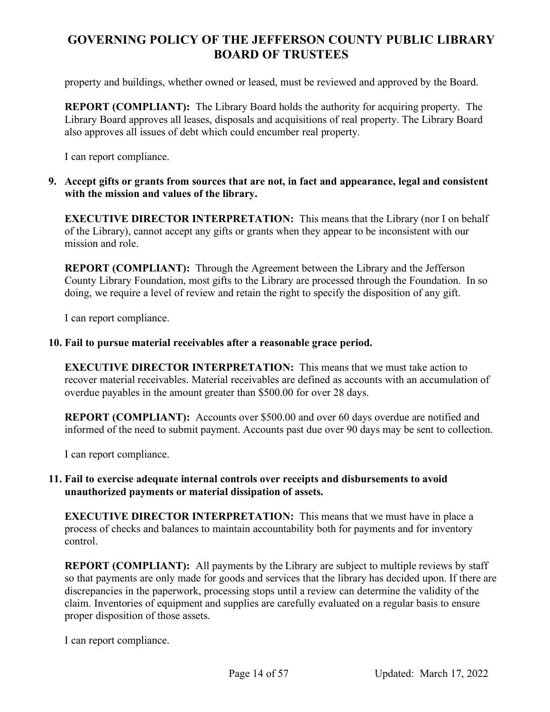property and buildings, whether owned or leased, must be reviewed and approved by the Board.

**REPORT (COMPLIANT):** The Library Board holds the authority for acquiring property. The Library Board approves all leases, disposals and acquisitions of real property. The Library Board also approves all issues of debt which could encumber real property.

I can report compliance.

**9. Accept gifts or grants from sources that are not, in fact and appearance, legal and consistent with the mission and values of the library.**

**EXECUTIVE DIRECTOR INTERPRETATION:** This means that the Library (nor I on behalf of the Library), cannot accept any gifts or grants when they appear to be inconsistent with our mission and role.

**REPORT (COMPLIANT):** Through the Agreement between the Library and the Jefferson County Library Foundation, most gifts to the Library are processed through the Foundation. In so doing, we require a level of review and retain the right to specify the disposition of any gift.

I can report compliance.

## **10. Fail to pursue material receivables after a reasonable grace period.**

**EXECUTIVE DIRECTOR INTERPRETATION:** This means that we must take action to recover material receivables. Material receivables are defined as accounts with an accumulation of overdue payables in the amount greater than \$500.00 for over 28 days.

**REPORT (COMPLIANT):** Accounts over \$500.00 and over 60 days overdue are notified and informed of the need to submit payment. Accounts past due over 90 days may be sent to collection.

I can report compliance.

## **11. Fail to exercise adequate internal controls over receipts and disbursements to avoid unauthorized payments or material dissipation of assets.**

**EXECUTIVE DIRECTOR INTERPRETATION:** This means that we must have in place a process of checks and balances to maintain accountability both for payments and for inventory control.

**REPORT (COMPLIANT):** All payments by the Library are subject to multiple reviews by staff so that payments are only made for goods and services that the library has decided upon. If there are discrepancies in the paperwork, processing stops until a review can determine the validity of the claim. Inventories of equipment and supplies are carefully evaluated on a regular basis to ensure proper disposition of those assets.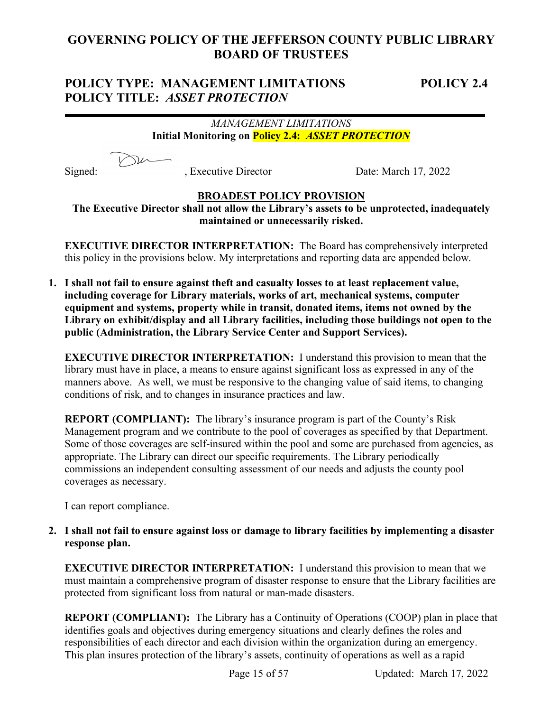## **POLICY TYPE: MANAGEMENT LIMITATIONS POLICY 2.4 POLICY TITLE:** *ASSET PROTECTION*

## *MANAGEMENT LIMITATIONS* **Initial Monitoring on Policy 2.4:** *ASSET PROTECTION*

Signed: , Executive Director Date: March 17, 2022

## **BROADEST POLICY PROVISION**

**The Executive Director shall not allow the Library's assets to be unprotected, inadequately maintained or unnecessarily risked.**

**EXECUTIVE DIRECTOR INTERPRETATION:** The Board has comprehensively interpreted this policy in the provisions below. My interpretations and reporting data are appended below.

**1. I shall not fail to ensure against theft and casualty losses to at least replacement value, including coverage for Library materials, works of art, mechanical systems, computer equipment and systems, property while in transit, donated items, items not owned by the Library on exhibit/display and all Library facilities, including those buildings not open to the public (Administration, the Library Service Center and Support Services).** 

**EXECUTIVE DIRECTOR INTERPRETATION:** I understand this provision to mean that the library must have in place, a means to ensure against significant loss as expressed in any of the manners above. As well, we must be responsive to the changing value of said items, to changing conditions of risk, and to changes in insurance practices and law.

**REPORT (COMPLIANT):** The library's insurance program is part of the County's Risk Management program and we contribute to the pool of coverages as specified by that Department. Some of those coverages are self-insured within the pool and some are purchased from agencies, as appropriate. The Library can direct our specific requirements. The Library periodically commissions an independent consulting assessment of our needs and adjusts the county pool coverages as necessary.

I can report compliance.

**2. I shall not fail to ensure against loss or damage to library facilities by implementing a disaster response plan.**

**EXECUTIVE DIRECTOR INTERPRETATION:** I understand this provision to mean that we must maintain a comprehensive program of disaster response to ensure that the Library facilities are protected from significant loss from natural or man-made disasters.

**REPORT (COMPLIANT):** The Library has a Continuity of Operations (COOP) plan in place that identifies goals and objectives during emergency situations and clearly defines the roles and responsibilities of each director and each division within the organization during an emergency. This plan insures protection of the library's assets, continuity of operations as well as a rapid

Page 15 of 57 Updated: March 17, 2022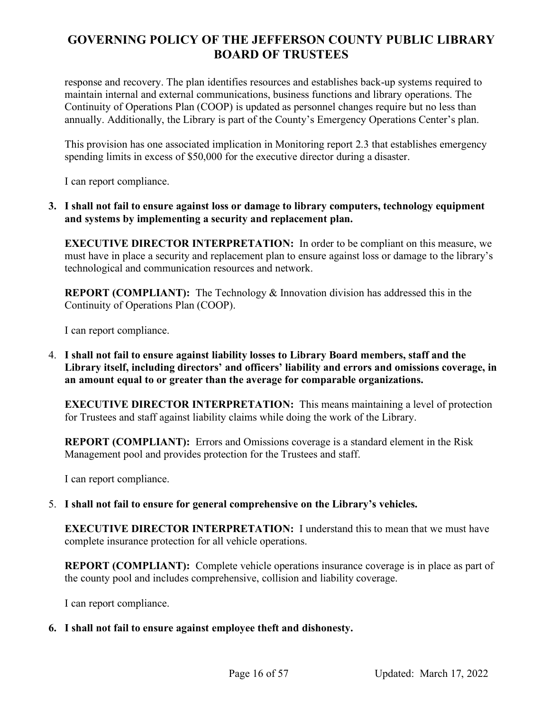response and recovery. The plan identifies resources and establishes back-up systems required to maintain internal and external communications, business functions and library operations. The Continuity of Operations Plan (COOP) is updated as personnel changes require but no less than annually. Additionally, the Library is part of the County's Emergency Operations Center's plan.

This provision has one associated implication in Monitoring report 2.3 that establishes emergency spending limits in excess of \$50,000 for the executive director during a disaster.

I can report compliance.

**3. I shall not fail to ensure against loss or damage to library computers, technology equipment and systems by implementing a security and replacement plan.**

**EXECUTIVE DIRECTOR INTERPRETATION:** In order to be compliant on this measure, we must have in place a security and replacement plan to ensure against loss or damage to the library's technological and communication resources and network.

**REPORT (COMPLIANT):** The Technology & Innovation division has addressed this in the Continuity of Operations Plan (COOP).

I can report compliance.

4. **I shall not fail to ensure against liability losses to Library Board members, staff and the Library itself, including directors' and officers' liability and errors and omissions coverage, in an amount equal to or greater than the average for comparable organizations.**

**EXECUTIVE DIRECTOR INTERPRETATION:** This means maintaining a level of protection for Trustees and staff against liability claims while doing the work of the Library.

**REPORT (COMPLIANT):** Errors and Omissions coverage is a standard element in the Risk Management pool and provides protection for the Trustees and staff.

I can report compliance.

5. **I shall not fail to ensure for general comprehensive on the Library's vehicles.**

**EXECUTIVE DIRECTOR INTERPRETATION:** I understand this to mean that we must have complete insurance protection for all vehicle operations.

**REPORT (COMPLIANT):** Complete vehicle operations insurance coverage is in place as part of the county pool and includes comprehensive, collision and liability coverage.

I can report compliance.

#### **6. I shall not fail to ensure against employee theft and dishonesty.**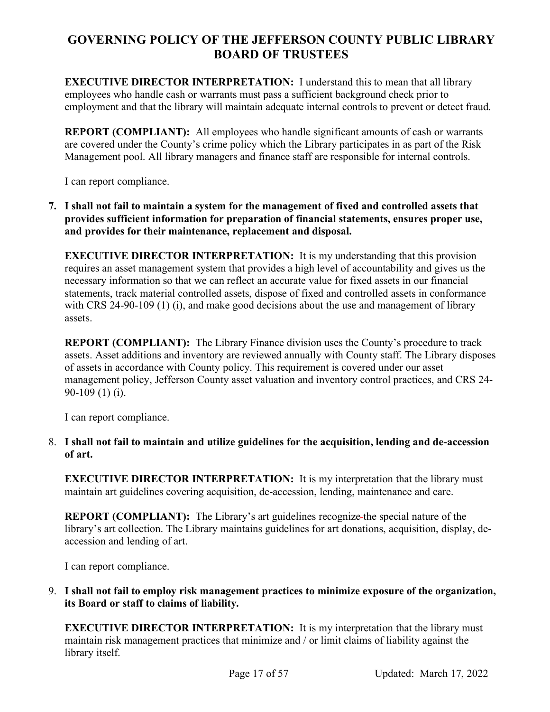**EXECUTIVE DIRECTOR INTERPRETATION:** I understand this to mean that all library employees who handle cash or warrants must pass a sufficient background check prior to employment and that the library will maintain adequate internal controls to prevent or detect fraud.

**REPORT (COMPLIANT):** All employees who handle significant amounts of cash or warrants are covered under the County's crime policy which the Library participates in as part of the Risk Management pool. All library managers and finance staff are responsible for internal controls.

I can report compliance.

**7. I shall not fail to maintain a system for the management of fixed and controlled assets that provides sufficient information for preparation of financial statements, ensures proper use, and provides for their maintenance, replacement and disposal.** 

**EXECUTIVE DIRECTOR INTERPRETATION:** It is my understanding that this provision requires an asset management system that provides a high level of accountability and gives us the necessary information so that we can reflect an accurate value for fixed assets in our financial statements, track material controlled assets, dispose of fixed and controlled assets in conformance with CRS 24-90-109 (1) (i), and make good decisions about the use and management of library assets.

**REPORT (COMPLIANT):** The Library Finance division uses the County's procedure to track assets. Asset additions and inventory are reviewed annually with County staff. The Library disposes of assets in accordance with County policy. This requirement is covered under our asset management policy, Jefferson County asset valuation and inventory control practices, and CRS 24- 90-109 (1) (i).

I can report compliance.

8. **I shall not fail to maintain and utilize guidelines for the acquisition, lending and de-accession of art.**

**EXECUTIVE DIRECTOR INTERPRETATION:** It is my interpretation that the library must maintain art guidelines covering acquisition, de-accession, lending, maintenance and care.

**REPORT (COMPLIANT):** The Library's art guidelines recognize-the special nature of the library's art collection. The Library maintains guidelines for art donations, acquisition, display, deaccession and lending of art.

I can report compliance.

9. **I shall not fail to employ risk management practices to minimize exposure of the organization, its Board or staff to claims of liability.**

**EXECUTIVE DIRECTOR INTERPRETATION:** It is my interpretation that the library must maintain risk management practices that minimize and / or limit claims of liability against the library itself.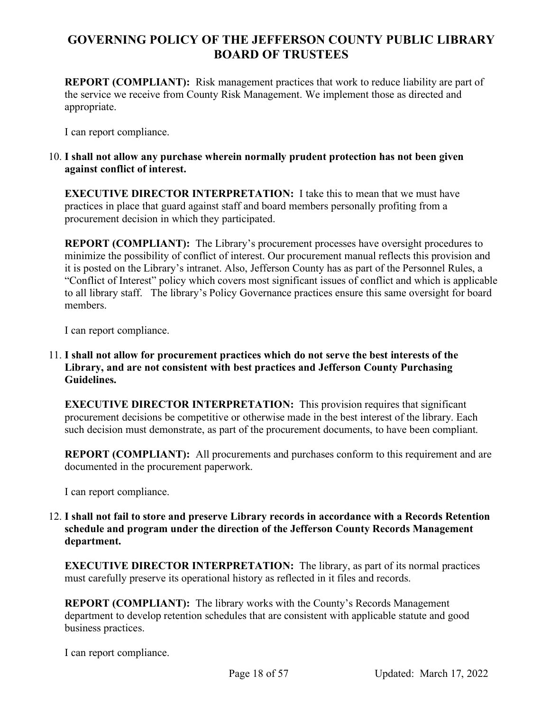**REPORT (COMPLIANT):** Risk management practices that work to reduce liability are part of the service we receive from County Risk Management. We implement those as directed and appropriate.

I can report compliance.

## 10. **I shall not allow any purchase wherein normally prudent protection has not been given against conflict of interest.**

**EXECUTIVE DIRECTOR INTERPRETATION:** I take this to mean that we must have practices in place that guard against staff and board members personally profiting from a procurement decision in which they participated.

**REPORT (COMPLIANT):** The Library's procurement processes have oversight procedures to minimize the possibility of conflict of interest. Our procurement manual reflects this provision and it is posted on the Library's intranet. Also, Jefferson County has as part of the Personnel Rules, a "Conflict of Interest" policy which covers most significant issues of conflict and which is applicable to all library staff. The library's Policy Governance practices ensure this same oversight for board members.

I can report compliance.

11. **I shall not allow for procurement practices which do not serve the best interests of the Library, and are not consistent with best practices and Jefferson County Purchasing Guidelines.**

**EXECUTIVE DIRECTOR INTERPRETATION:** This provision requires that significant procurement decisions be competitive or otherwise made in the best interest of the library. Each such decision must demonstrate, as part of the procurement documents, to have been compliant.

**REPORT (COMPLIANT):** All procurements and purchases conform to this requirement and are documented in the procurement paperwork.

I can report compliance.

12. **I shall not fail to store and preserve Library records in accordance with a Records Retention schedule and program under the direction of the Jefferson County Records Management department.**

**EXECUTIVE DIRECTOR INTERPRETATION:** The library, as part of its normal practices must carefully preserve its operational history as reflected in it files and records.

**REPORT (COMPLIANT):** The library works with the County's Records Management department to develop retention schedules that are consistent with applicable statute and good business practices.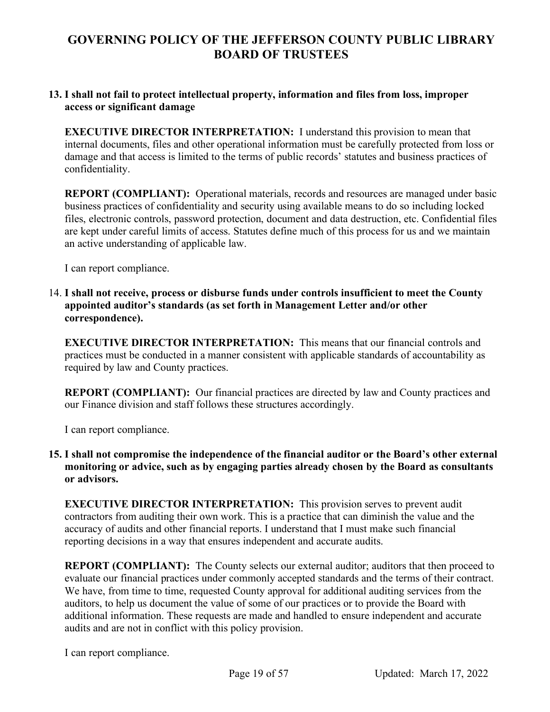#### **13. I shall not fail to protect intellectual property, information and files from loss, improper access or significant damage**

**EXECUTIVE DIRECTOR INTERPRETATION:** I understand this provision to mean that internal documents, files and other operational information must be carefully protected from loss or damage and that access is limited to the terms of public records' statutes and business practices of confidentiality.

**REPORT (COMPLIANT):** Operational materials, records and resources are managed under basic business practices of confidentiality and security using available means to do so including locked files, electronic controls, password protection, document and data destruction, etc. Confidential files are kept under careful limits of access. Statutes define much of this process for us and we maintain an active understanding of applicable law.

I can report compliance.

14. **I shall not receive, process or disburse funds under controls insufficient to meet the County appointed auditor's standards (as set forth in Management Letter and/or other correspondence).**

**EXECUTIVE DIRECTOR INTERPRETATION:** This means that our financial controls and practices must be conducted in a manner consistent with applicable standards of accountability as required by law and County practices.

**REPORT (COMPLIANT):** Our financial practices are directed by law and County practices and our Finance division and staff follows these structures accordingly.

I can report compliance.

## **15. I shall not compromise the independence of the financial auditor or the Board's other external monitoring or advice, such as by engaging parties already chosen by the Board as consultants or advisors.**

**EXECUTIVE DIRECTOR INTERPRETATION:** This provision serves to prevent audit contractors from auditing their own work. This is a practice that can diminish the value and the accuracy of audits and other financial reports. I understand that I must make such financial reporting decisions in a way that ensures independent and accurate audits.

**REPORT (COMPLIANT):** The County selects our external auditor; auditors that then proceed to evaluate our financial practices under commonly accepted standards and the terms of their contract. We have, from time to time, requested County approval for additional auditing services from the auditors, to help us document the value of some of our practices or to provide the Board with additional information. These requests are made and handled to ensure independent and accurate audits and are not in conflict with this policy provision.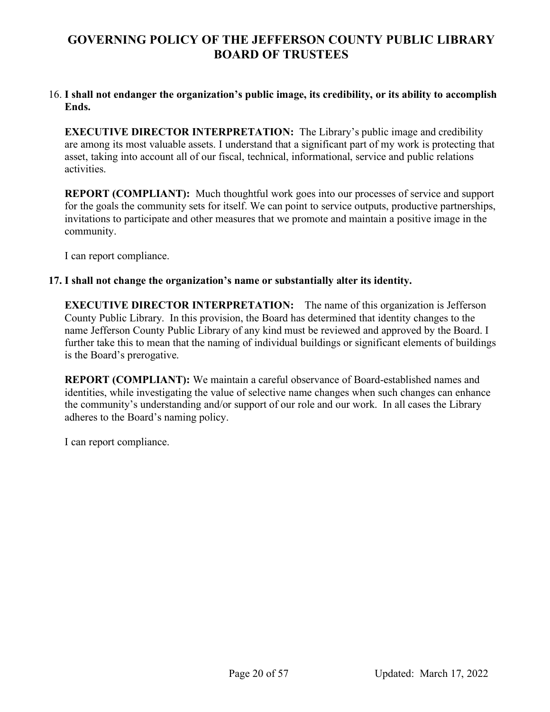#### 16. **I shall not endanger the organization's public image, its credibility, or its ability to accomplish Ends.**

**EXECUTIVE DIRECTOR INTERPRETATION:** The Library's public image and credibility are among its most valuable assets. I understand that a significant part of my work is protecting that asset, taking into account all of our fiscal, technical, informational, service and public relations activities.

**REPORT (COMPLIANT):** Much thoughtful work goes into our processes of service and support for the goals the community sets for itself. We can point to service outputs, productive partnerships, invitations to participate and other measures that we promote and maintain a positive image in the community.

I can report compliance.

#### **17. I shall not change the organization's name or substantially alter its identity.**

**EXECUTIVE DIRECTOR INTERPRETATION:** The name of this organization is Jefferson County Public Library. In this provision, the Board has determined that identity changes to the name Jefferson County Public Library of any kind must be reviewed and approved by the Board. I further take this to mean that the naming of individual buildings or significant elements of buildings is the Board's prerogative.

**REPORT (COMPLIANT):** We maintain a careful observance of Board-established names and identities, while investigating the value of selective name changes when such changes can enhance the community's understanding and/or support of our role and our work. In all cases the Library adheres to the Board's naming policy.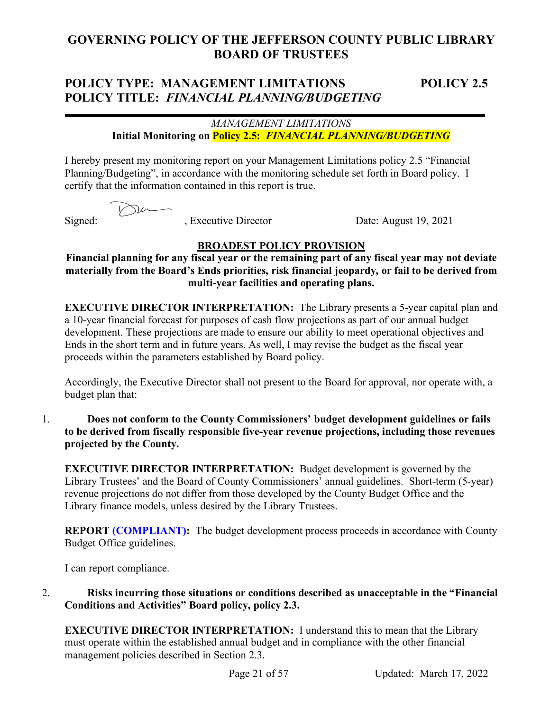# **POLICY TYPE: MANAGEMENT LIMITATIONS POLICY 2.5 POLICY TITLE:** *FINANCIAL PLANNING/BUDGETING*

## *MANAGEMENT LIMITATIONS* **Initial Monitoring on Policy 2.5:** *FINANCIAL PLANNING/BUDGETING*

I hereby present my monitoring report on your Management Limitations policy 2.5 "Financial Planning/Budgeting", in accordance with the monitoring schedule set forth in Board policy. I certify that the information contained in this report is true.

Signed: , Executive Director Date: August 19, 2021

## **BROADEST POLICY PROVISION**

**Financial planning for any fiscal year or the remaining part of any fiscal year may not deviate materially from the Board's Ends priorities, risk financial jeopardy, or fail to be derived from multi-year facilities and operating plans.**

**EXECUTIVE DIRECTOR INTERPRETATION:** The Library presents a 5-year capital plan and a 10-year financial forecast for purposes of cash flow projections as part of our annual budget development. These projections are made to ensure our ability to meet operational objectives and Ends in the short term and in future years. As well, I may revise the budget as the fiscal year proceeds within the parameters established by Board policy.

Accordingly, the Executive Director shall not present to the Board for approval, nor operate with, a budget plan that:

1. **Does not conform to the County Commissioners' budget development guidelines or fails to be derived from fiscally responsible five-year revenue projections, including those revenues projected by the County.**

**EXECUTIVE DIRECTOR INTERPRETATION:** Budget development is governed by the Library Trustees' and the Board of County Commissioners' annual guidelines. Short-term (5-year) revenue projections do not differ from those developed by the County Budget Office and the Library finance models, unless desired by the Library Trustees.

**REPORT (COMPLIANT):** The budget development process proceeds in accordance with County Budget Office guidelines.

I can report compliance.

2. **Risks incurring those situations or conditions described as unacceptable in the "Financial Conditions and Activities" Board policy, policy 2.3.**

**EXECUTIVE DIRECTOR INTERPRETATION:** I understand this to mean that the Library must operate within the established annual budget and in compliance with the other financial management policies described in Section 2.3.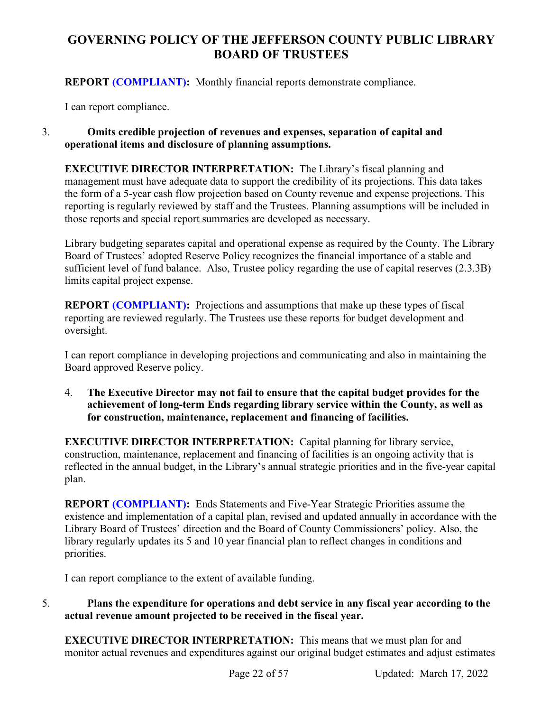**REPORT (COMPLIANT):** Monthly financial reports demonstrate compliance.

I can report compliance.

## 3. **Omits credible projection of revenues and expenses, separation of capital and operational items and disclosure of planning assumptions.**

**EXECUTIVE DIRECTOR INTERPRETATION:** The Library's fiscal planning and management must have adequate data to support the credibility of its projections. This data takes the form of a 5-year cash flow projection based on County revenue and expense projections. This reporting is regularly reviewed by staff and the Trustees. Planning assumptions will be included in those reports and special report summaries are developed as necessary.

Library budgeting separates capital and operational expense as required by the County. The Library Board of Trustees' adopted Reserve Policy recognizes the financial importance of a stable and sufficient level of fund balance. Also, Trustee policy regarding the use of capital reserves (2.3.3B) limits capital project expense.

**REPORT (COMPLIANT):** Projections and assumptions that make up these types of fiscal reporting are reviewed regularly. The Trustees use these reports for budget development and oversight.

I can report compliance in developing projections and communicating and also in maintaining the Board approved Reserve policy.

4. **The Executive Director may not fail to ensure that the capital budget provides for the achievement of long-term Ends regarding library service within the County, as well as for construction, maintenance, replacement and financing of facilities.**

**EXECUTIVE DIRECTOR INTERPRETATION:** Capital planning for library service, construction, maintenance, replacement and financing of facilities is an ongoing activity that is reflected in the annual budget, in the Library's annual strategic priorities and in the five-year capital plan.

**REPORT (COMPLIANT):** Ends Statements and Five-Year Strategic Priorities assume the existence and implementation of a capital plan, revised and updated annually in accordance with the Library Board of Trustees' direction and the Board of County Commissioners' policy. Also, the library regularly updates its 5 and 10 year financial plan to reflect changes in conditions and priorities.

I can report compliance to the extent of available funding.

## 5. **Plans the expenditure for operations and debt service in any fiscal year according to the actual revenue amount projected to be received in the fiscal year.**

**EXECUTIVE DIRECTOR INTERPRETATION:** This means that we must plan for and monitor actual revenues and expenditures against our original budget estimates and adjust estimates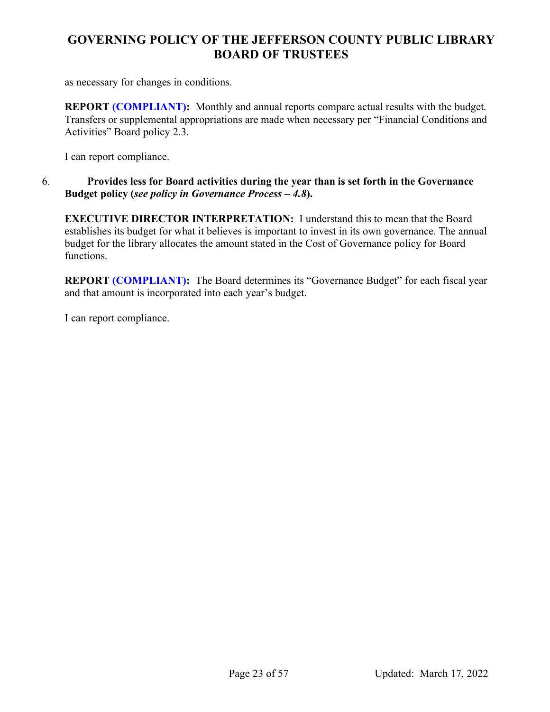as necessary for changes in conditions.

**REPORT (COMPLIANT):** Monthly and annual reports compare actual results with the budget. Transfers or supplemental appropriations are made when necessary per "Financial Conditions and Activities" Board policy 2.3.

I can report compliance.

## 6. **Provides less for Board activities during the year than is set forth in the Governance Budget policy (***see policy in Governance Process – 4.8***).**

**EXECUTIVE DIRECTOR INTERPRETATION:** I understand this to mean that the Board establishes its budget for what it believes is important to invest in its own governance. The annual budget for the library allocates the amount stated in the Cost of Governance policy for Board functions.

**REPORT (COMPLIANT):** The Board determines its "Governance Budget" for each fiscal year and that amount is incorporated into each year's budget.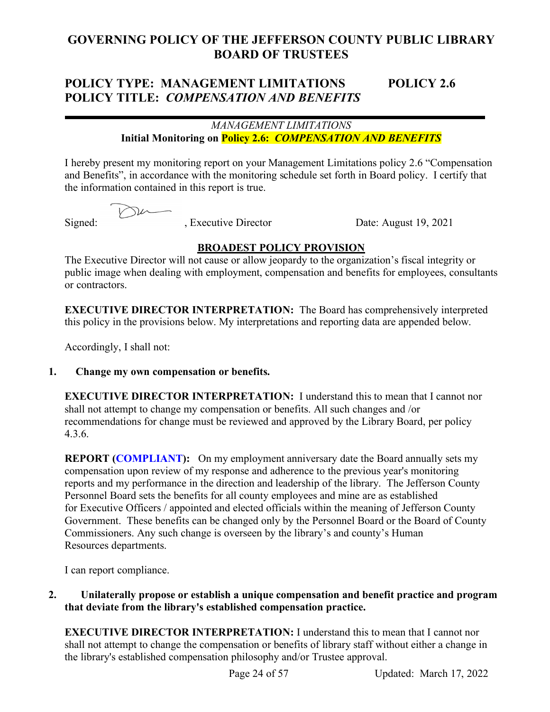# **POLICY TYPE: MANAGEMENT LIMITATIONS POLICY 2.6 POLICY TITLE:** *COMPENSATION AND BENEFITS*

## *MANAGEMENT LIMITATIONS* **Initial Monitoring on Policy 2.6:** *COMPENSATION AND BENEFITS*

I hereby present my monitoring report on your Management Limitations policy 2.6 "Compensation and Benefits", in accordance with the monitoring schedule set forth in Board policy. I certify that the information contained in this report is true.

De

Signed: , Executive Director Date: August 19, 2021

## **BROADEST POLICY PROVISION**

The Executive Director will not cause or allow jeopardy to the organization's fiscal integrity or public image when dealing with employment, compensation and benefits for employees, consultants or contractors.

**EXECUTIVE DIRECTOR INTERPRETATION:** The Board has comprehensively interpreted this policy in the provisions below. My interpretations and reporting data are appended below.

Accordingly, I shall not:

## **1. Change my own compensation or benefits.**

**EXECUTIVE DIRECTOR INTERPRETATION:** I understand this to mean that I cannot nor shall not attempt to change my compensation or benefits. All such changes and /or recommendations for change must be reviewed and approved by the Library Board, per policy 4.3.6.

**REPORT (COMPLIANT):** On my employment anniversary date the Board annually sets my compensation upon review of my response and adherence to the previous year's monitoring reports and my performance in the direction and leadership of the library. The Jefferson County Personnel Board sets the benefits for all county employees and mine are as established for Executive Officers / appointed and elected officials within the meaning of Jefferson County Government. These benefits can be changed only by the Personnel Board or the Board of County Commissioners. Any such change is overseen by the library's and county's Human Resources departments.

I can report compliance.

**2. Unilaterally propose or establish a unique compensation and benefit practice and program that deviate from the library's established compensation practice.**

**EXECUTIVE DIRECTOR INTERPRETATION:** I understand this to mean that I cannot nor shall not attempt to change the compensation or benefits of library staff without either a change in the library's established compensation philosophy and/or Trustee approval.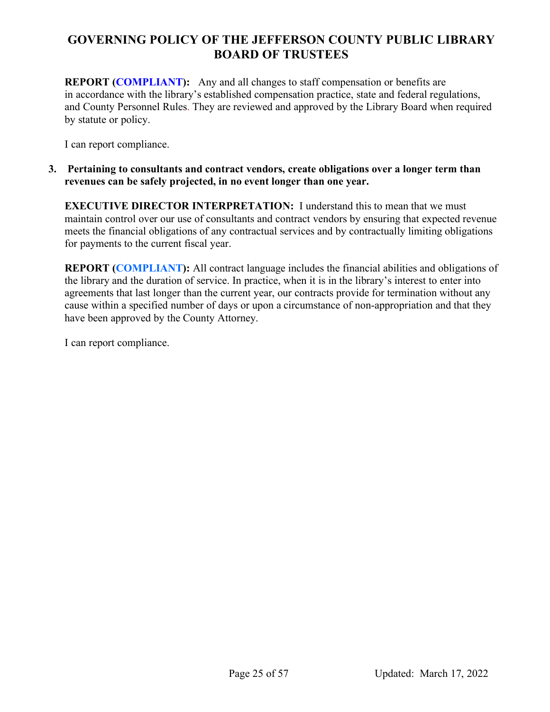**REPORT (COMPLIANT):** Any and all changes to staff compensation or benefits are in accordance with the library's established compensation practice, state and federal regulations, and County Personnel Rules. They are reviewed and approved by the Library Board when required by statute or policy.

I can report compliance.

### **3. Pertaining to consultants and contract vendors, create obligations over a longer term than revenues can be safely projected, in no event longer than one year.**

**EXECUTIVE DIRECTOR INTERPRETATION:** I understand this to mean that we must maintain control over our use of consultants and contract vendors by ensuring that expected revenue meets the financial obligations of any contractual services and by contractually limiting obligations for payments to the current fiscal year.

**REPORT (COMPLIANT):** All contract language includes the financial abilities and obligations of the library and the duration of service. In practice, when it is in the library's interest to enter into agreements that last longer than the current year, our contracts provide for termination without any cause within a specified number of days or upon a circumstance of non-appropriation and that they have been approved by the County Attorney.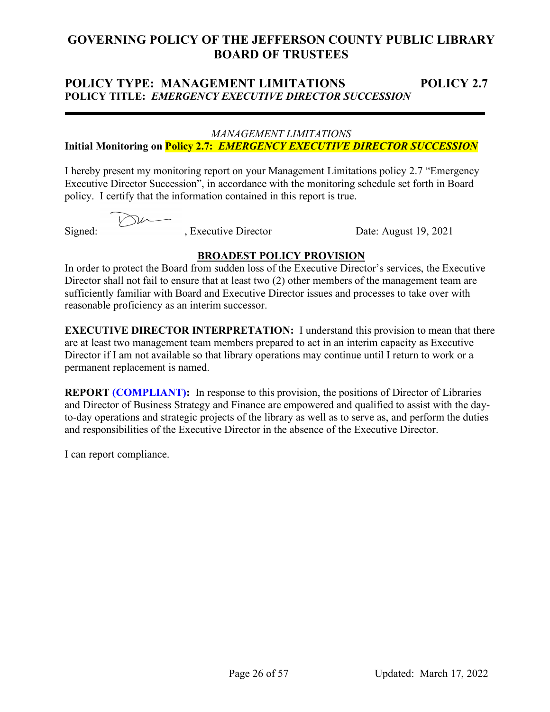## **POLICY TYPE: MANAGEMENT LIMITATIONS POLICY 2.7 POLICY TITLE:** *EMERGENCY EXECUTIVE DIRECTOR SUCCESSION*

#### *MANAGEMENT LIMITATIONS*

## **Initial Monitoring on Policy 2.7:** *EMERGENCY EXECUTIVE DIRECTOR SUCCESSION*

I hereby present my monitoring report on your Management Limitations policy 2.7 "Emergency Executive Director Succession", in accordance with the monitoring schedule set forth in Board policy. I certify that the information contained in this report is true.

Signed: , Executive Director Date: August 19, 2021

## **BROADEST POLICY PROVISION**

In order to protect the Board from sudden loss of the Executive Director's services, the Executive Director shall not fail to ensure that at least two (2) other members of the management team are sufficiently familiar with Board and Executive Director issues and processes to take over with reasonable proficiency as an interim successor.

**EXECUTIVE DIRECTOR INTERPRETATION:** I understand this provision to mean that there are at least two management team members prepared to act in an interim capacity as Executive Director if I am not available so that library operations may continue until I return to work or a permanent replacement is named.

**REPORT (COMPLIANT):** In response to this provision, the positions of Director of Libraries and Director of Business Strategy and Finance are empowered and qualified to assist with the dayto-day operations and strategic projects of the library as well as to serve as, and perform the duties and responsibilities of the Executive Director in the absence of the Executive Director.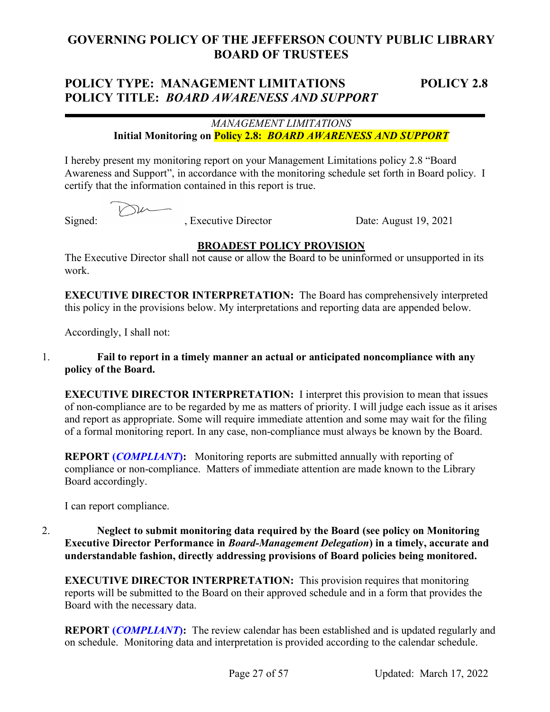## **POLICY TYPE: MANAGEMENT LIMITATIONS POLICY 2.8 POLICY TITLE:** *BOARD AWARENESS AND SUPPORT*

## *MANAGEMENT LIMITATIONS* **Initial Monitoring on Policy 2.8:** *BOARD AWARENESS AND SUPPORT*

I hereby present my monitoring report on your Management Limitations policy 2.8 "Board Awareness and Support", in accordance with the monitoring schedule set forth in Board policy. I certify that the information contained in this report is true.

Signed: , Executive Director Date: August 19, 2021

## **BROADEST POLICY PROVISION**

The Executive Director shall not cause or allow the Board to be uninformed or unsupported in its work.

**EXECUTIVE DIRECTOR INTERPRETATION:** The Board has comprehensively interpreted this policy in the provisions below. My interpretations and reporting data are appended below.

Accordingly, I shall not:

## 1. **Fail to report in a timely manner an actual or anticipated noncompliance with any policy of the Board.**

**EXECUTIVE DIRECTOR INTERPRETATION:** I interpret this provision to mean that issues of non-compliance are to be regarded by me as matters of priority. I will judge each issue as it arises and report as appropriate. Some will require immediate attention and some may wait for the filing of a formal monitoring report. In any case, non-compliance must always be known by the Board.

**REPORT (***COMPLIANT***):** Monitoring reports are submitted annually with reporting of compliance or non-compliance. Matters of immediate attention are made known to the Library Board accordingly.

I can report compliance.

### 2. **Neglect to submit monitoring data required by the Board (see policy on Monitoring Executive Director Performance in** *Board-Management Delegation***) in a timely, accurate and understandable fashion, directly addressing provisions of Board policies being monitored.**

**EXECUTIVE DIRECTOR INTERPRETATION:** This provision requires that monitoring reports will be submitted to the Board on their approved schedule and in a form that provides the Board with the necessary data.

**REPORT (***COMPLIANT***):** The review calendar has been established and is updated regularly and on schedule. Monitoring data and interpretation is provided according to the calendar schedule.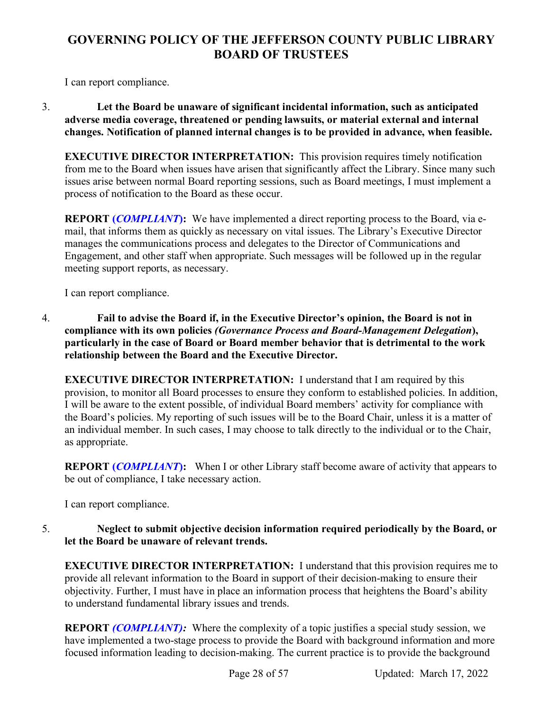I can report compliance.

3. **Let the Board be unaware of significant incidental information, such as anticipated adverse media coverage, threatened or pending lawsuits, or material external and internal changes. Notification of planned internal changes is to be provided in advance, when feasible.**

**EXECUTIVE DIRECTOR INTERPRETATION:** This provision requires timely notification from me to the Board when issues have arisen that significantly affect the Library. Since many such issues arise between normal Board reporting sessions, such as Board meetings, I must implement a process of notification to the Board as these occur.

**REPORT (***COMPLIANT*): We have implemented a direct reporting process to the Board, via email, that informs them as quickly as necessary on vital issues. The Library's Executive Director manages the communications process and delegates to the Director of Communications and Engagement, and other staff when appropriate. Such messages will be followed up in the regular meeting support reports, as necessary.

I can report compliance.

4. **Fail to advise the Board if, in the Executive Director's opinion, the Board is not in compliance with its own policies** *(Governance Process and Board-Management Delegation***), particularly in the case of Board or Board member behavior that is detrimental to the work relationship between the Board and the Executive Director.**

**EXECUTIVE DIRECTOR INTERPRETATION:** I understand that I am required by this provision, to monitor all Board processes to ensure they conform to established policies. In addition, I will be aware to the extent possible, of individual Board members' activity for compliance with the Board's policies. My reporting of such issues will be to the Board Chair, unless it is a matter of an individual member. In such cases, I may choose to talk directly to the individual or to the Chair, as appropriate.

**REPORT (***COMPLIANT*): When I or other Library staff become aware of activity that appears to be out of compliance, I take necessary action.

I can report compliance.

## 5. **Neglect to submit objective decision information required periodically by the Board, or let the Board be unaware of relevant trends.**

**EXECUTIVE DIRECTOR INTERPRETATION:** I understand that this provision requires me to provide all relevant information to the Board in support of their decision-making to ensure their objectivity. Further, I must have in place an information process that heightens the Board's ability to understand fundamental library issues and trends.

**REPORT** *(COMPLIANT)***:** Where the complexity of a topic justifies a special study session, we have implemented a two-stage process to provide the Board with background information and more focused information leading to decision-making. The current practice is to provide the background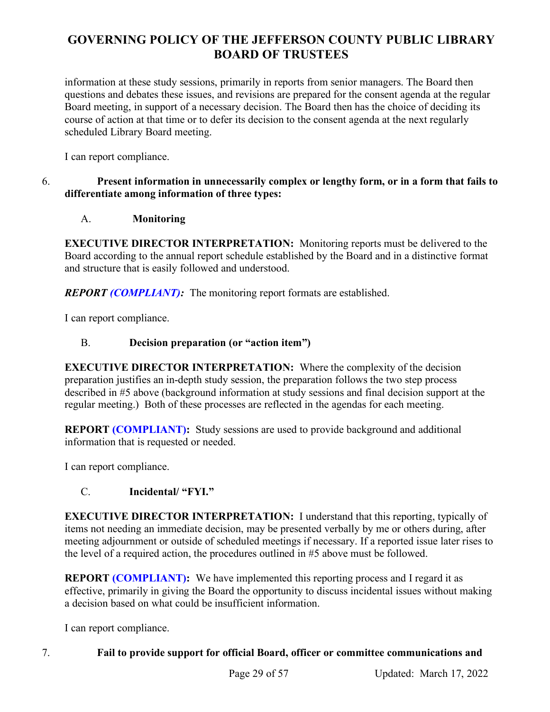information at these study sessions, primarily in reports from senior managers. The Board then questions and debates these issues, and revisions are prepared for the consent agenda at the regular Board meeting, in support of a necessary decision. The Board then has the choice of deciding its course of action at that time or to defer its decision to the consent agenda at the next regularly scheduled Library Board meeting.

I can report compliance.

## 6. **Present information in unnecessarily complex or lengthy form, or in a form that fails to differentiate among information of three types:**

## A. **Monitoring**

**EXECUTIVE DIRECTOR INTERPRETATION:** Monitoring reports must be delivered to the Board according to the annual report schedule established by the Board and in a distinctive format and structure that is easily followed and understood.

*REPORT (COMPLIANT):* The monitoring report formats are established.

I can report compliance.

## B. **Decision preparation (or "action item")**

**EXECUTIVE DIRECTOR INTERPRETATION:** Where the complexity of the decision preparation justifies an in-depth study session, the preparation follows the two step process described in #5 above (background information at study sessions and final decision support at the regular meeting.) Both of these processes are reflected in the agendas for each meeting.

**REPORT (COMPLIANT):** Study sessions are used to provide background and additional information that is requested or needed.

I can report compliance.

## C. **Incidental/ "FYI."**

**EXECUTIVE DIRECTOR INTERPRETATION:** I understand that this reporting, typically of items not needing an immediate decision, may be presented verbally by me or others during, after meeting adjournment or outside of scheduled meetings if necessary. If a reported issue later rises to the level of a required action, the procedures outlined in #5 above must be followed.

**REPORT (COMPLIANT):** We have implemented this reporting process and I regard it as effective, primarily in giving the Board the opportunity to discuss incidental issues without making a decision based on what could be insufficient information.

I can report compliance.

## 7. **Fail to provide support for official Board, officer or committee communications and**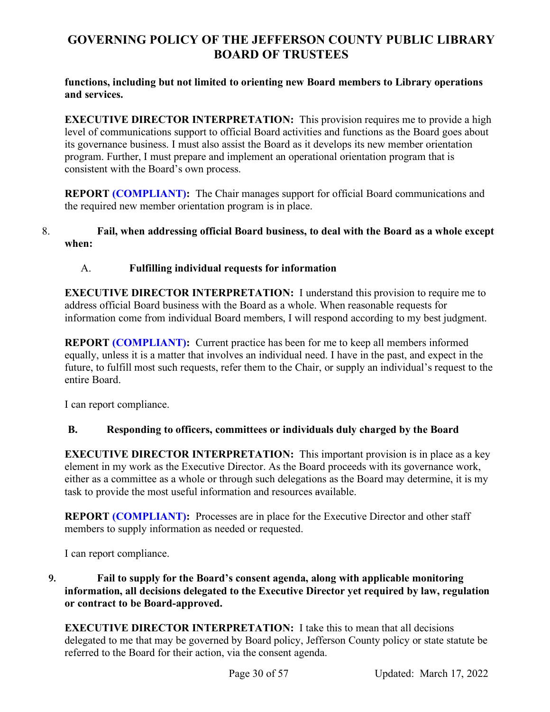**functions, including but not limited to orienting new Board members to Library operations and services.** 

**EXECUTIVE DIRECTOR INTERPRETATION:** This provision requires me to provide a high level of communications support to official Board activities and functions as the Board goes about its governance business. I must also assist the Board as it develops its new member orientation program. Further, I must prepare and implement an operational orientation program that is consistent with the Board's own process.

**REPORT (COMPLIANT):** The Chair manages support for official Board communications and the required new member orientation program is in place.

## 8. **Fail, when addressing official Board business, to deal with the Board as a whole except when:**

## A. **Fulfilling individual requests for information**

**EXECUTIVE DIRECTOR INTERPRETATION:** I understand this provision to require me to address official Board business with the Board as a whole. When reasonable requests for information come from individual Board members, I will respond according to my best judgment.

**REPORT (COMPLIANT):** Current practice has been for me to keep all members informed equally, unless it is a matter that involves an individual need. I have in the past, and expect in the future, to fulfill most such requests, refer them to the Chair, or supply an individual's request to the entire Board.

I can report compliance.

## **B. Responding to officers, committees or individuals duly charged by the Board**

**EXECUTIVE DIRECTOR INTERPRETATION:** This important provision is in place as a key element in my work as the Executive Director. As the Board proceeds with its governance work, either as a committee as a whole or through such delegations as the Board may determine, it is my task to provide the most useful information and resources available.

**REPORT (COMPLIANT):** Processes are in place for the Executive Director and other staff members to supply information as needed or requested.

I can report compliance.

## **9. Fail to supply for the Board's consent agenda, along with applicable monitoring information, all decisions delegated to the Executive Director yet required by law, regulation or contract to be Board-approved.**

**EXECUTIVE DIRECTOR INTERPRETATION:** I take this to mean that all decisions delegated to me that may be governed by Board policy, Jefferson County policy or state statute be referred to the Board for their action, via the consent agenda.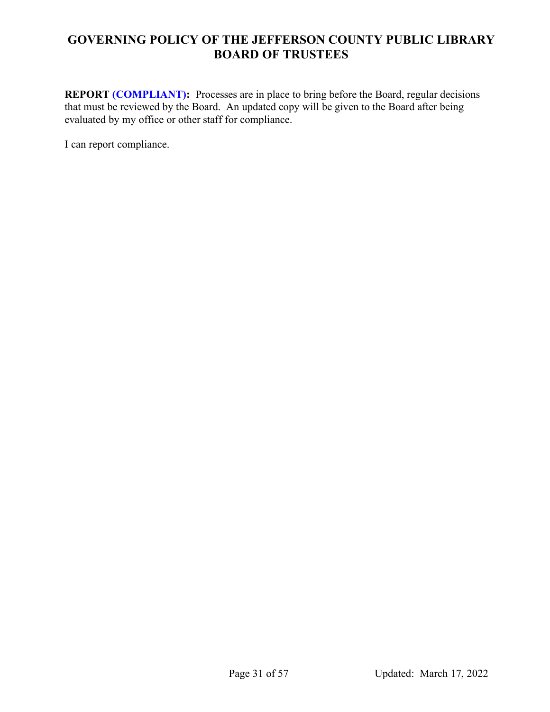**REPORT (COMPLIANT):** Processes are in place to bring before the Board, regular decisions that must be reviewed by the Board. An updated copy will be given to the Board after being evaluated by my office or other staff for compliance.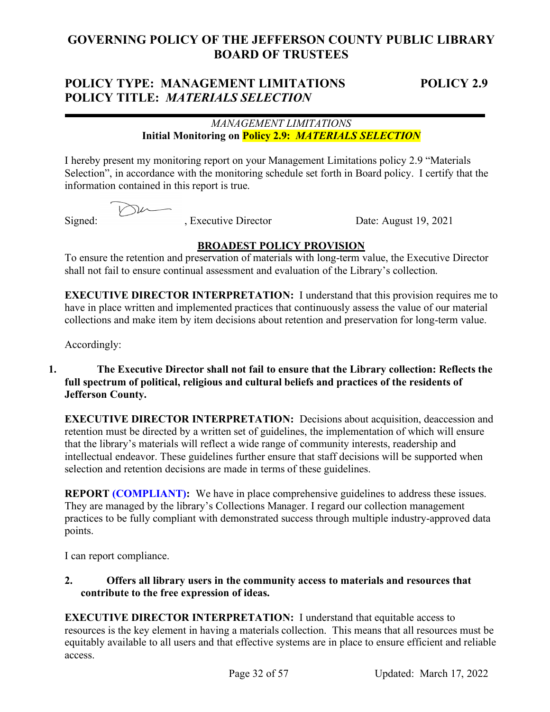## **POLICY TYPE: MANAGEMENT LIMITATIONS POLICY 2.9 POLICY TITLE:** *MATERIALS SELECTION*

## *MANAGEMENT LIMITATIONS* **Initial Monitoring on Policy 2.9:** *MATERIALS SELECTION*

I hereby present my monitoring report on your Management Limitations policy 2.9 "Materials Selection", in accordance with the monitoring schedule set forth in Board policy. I certify that the information contained in this report is true.

 $\nabla$ 

Signed: , Executive Director Date: August 19, 2021

## **BROADEST POLICY PROVISION**

To ensure the retention and preservation of materials with long-term value, the Executive Director shall not fail to ensure continual assessment and evaluation of the Library's collection.

**EXECUTIVE DIRECTOR INTERPRETATION:** I understand that this provision requires me to have in place written and implemented practices that continuously assess the value of our material collections and make item by item decisions about retention and preservation for long-term value.

Accordingly:

## **1. The Executive Director shall not fail to ensure that the Library collection: Reflects the full spectrum of political, religious and cultural beliefs and practices of the residents of Jefferson County.**

**EXECUTIVE DIRECTOR INTERPRETATION:** Decisions about acquisition, deaccession and retention must be directed by a written set of guidelines, the implementation of which will ensure that the library's materials will reflect a wide range of community interests, readership and intellectual endeavor. These guidelines further ensure that staff decisions will be supported when selection and retention decisions are made in terms of these guidelines.

**REPORT (COMPLIANT):** We have in place comprehensive guidelines to address these issues. They are managed by the library's Collections Manager. I regard our collection management practices to be fully compliant with demonstrated success through multiple industry-approved data points.

I can report compliance.

**2. Offers all library users in the community access to materials and resources that contribute to the free expression of ideas.**

**EXECUTIVE DIRECTOR INTERPRETATION:** I understand that equitable access to resources is the key element in having a materials collection. This means that all resources must be equitably available to all users and that effective systems are in place to ensure efficient and reliable access.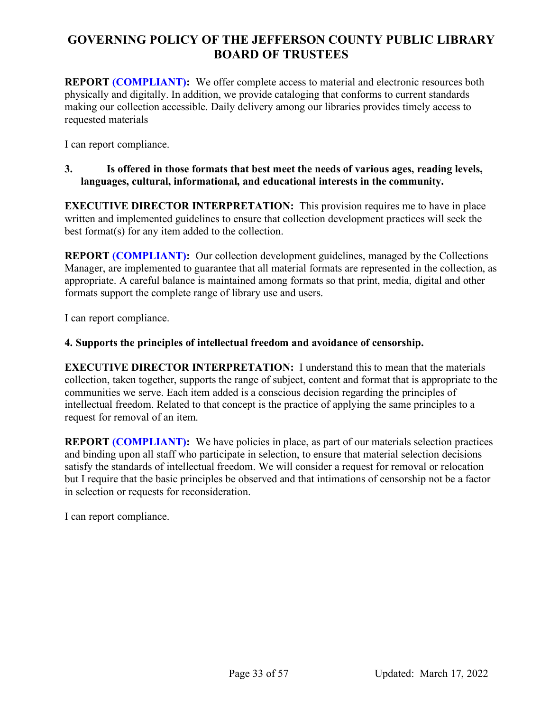**REPORT (COMPLIANT):** We offer complete access to material and electronic resources both physically and digitally. In addition, we provide cataloging that conforms to current standards making our collection accessible. Daily delivery among our libraries provides timely access to requested materials

I can report compliance.

## **3. Is offered in those formats that best meet the needs of various ages, reading levels, languages, cultural, informational, and educational interests in the community.**

**EXECUTIVE DIRECTOR INTERPRETATION:** This provision requires me to have in place written and implemented guidelines to ensure that collection development practices will seek the best format(s) for any item added to the collection.

**REPORT (COMPLIANT):** Our collection development guidelines, managed by the Collections Manager, are implemented to guarantee that all material formats are represented in the collection, as appropriate. A careful balance is maintained among formats so that print, media, digital and other formats support the complete range of library use and users.

I can report compliance.

## **4. Supports the principles of intellectual freedom and avoidance of censorship.**

**EXECUTIVE DIRECTOR INTERPRETATION:** I understand this to mean that the materials collection, taken together, supports the range of subject, content and format that is appropriate to the communities we serve. Each item added is a conscious decision regarding the principles of intellectual freedom. Related to that concept is the practice of applying the same principles to a request for removal of an item.

**REPORT (COMPLIANT):** We have policies in place, as part of our materials selection practices and binding upon all staff who participate in selection, to ensure that material selection decisions satisfy the standards of intellectual freedom. We will consider a request for removal or relocation but I require that the basic principles be observed and that intimations of censorship not be a factor in selection or requests for reconsideration.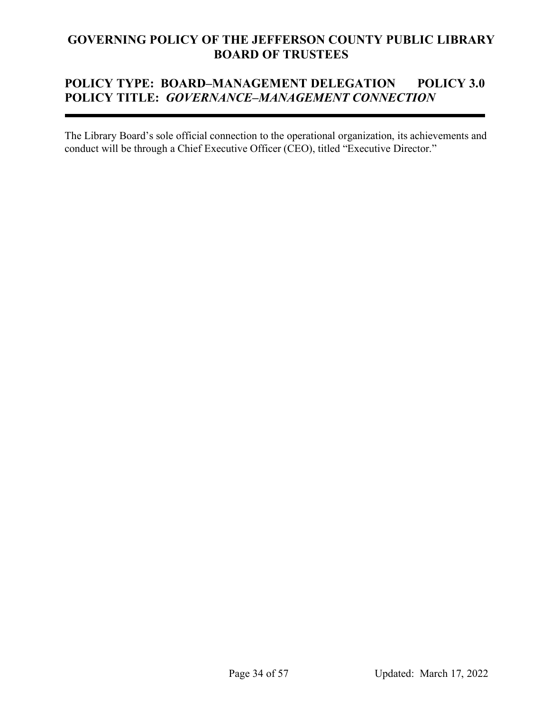# **POLICY TYPE: BOARD***–***MANAGEMENT DELEGATION POLICY 3.0 POLICY TITLE:** *GOVERNANCE–MANAGEMENT CONNECTION*

The Library Board's sole official connection to the operational organization, its achievements and conduct will be through a Chief Executive Officer (CEO), titled "Executive Director."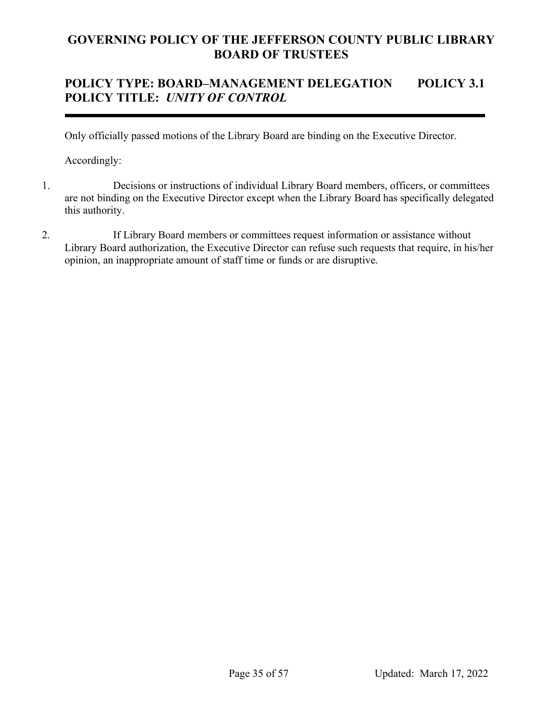# **POLICY TYPE: BOARD***–***MANAGEMENT DELEGATION POLICY 3.1 POLICY TITLE:** *UNITY OF CONTROL*

Only officially passed motions of the Library Board are binding on the Executive Director.

- 1. Decisions or instructions of individual Library Board members, officers, or committees are not binding on the Executive Director except when the Library Board has specifically delegated this authority.
- 2. If Library Board members or committees request information or assistance without Library Board authorization, the Executive Director can refuse such requests that require, in his/her opinion, an inappropriate amount of staff time or funds or are disruptive.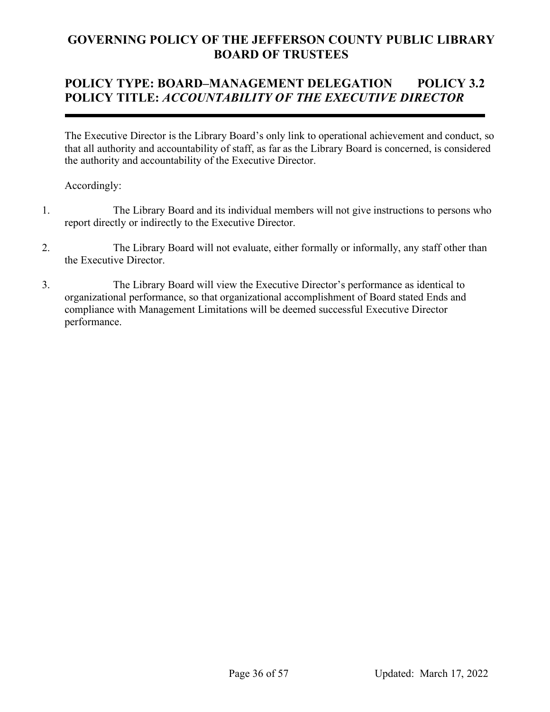# **POLICY TYPE: BOARD***–***MANAGEMENT DELEGATION POLICY 3.2 POLICY TITLE:** *ACCOUNTABILITY OF THE EXECUTIVE DIRECTOR*

The Executive Director is the Library Board's only link to operational achievement and conduct, so that all authority and accountability of staff, as far as the Library Board is concerned, is considered the authority and accountability of the Executive Director.

- 1. The Library Board and its individual members will not give instructions to persons who report directly or indirectly to the Executive Director.
- 2. The Library Board will not evaluate, either formally or informally, any staff other than the Executive Director.
- 3. The Library Board will view the Executive Director's performance as identical to organizational performance, so that organizational accomplishment of Board stated Ends and compliance with Management Limitations will be deemed successful Executive Director performance.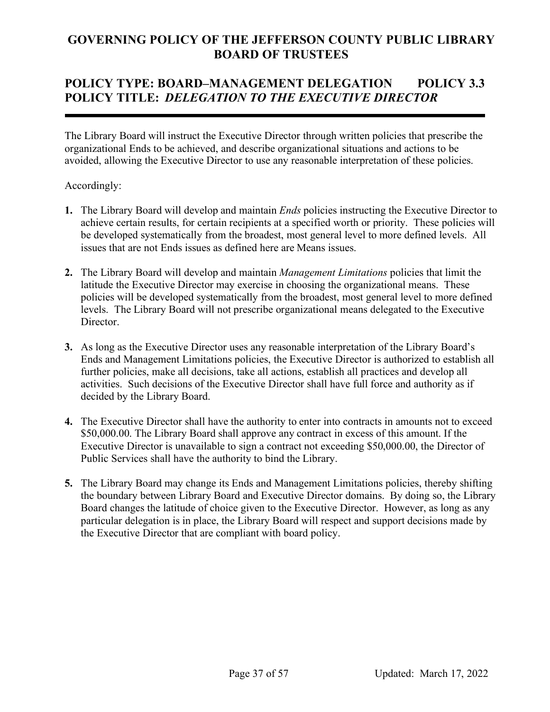# **POLICY TYPE: BOARD***–***MANAGEMENT DELEGATION POLICY 3.3 POLICY TITLE:** *DELEGATION TO THE EXECUTIVE DIRECTOR*

The Library Board will instruct the Executive Director through written policies that prescribe the organizational Ends to be achieved, and describe organizational situations and actions to be avoided, allowing the Executive Director to use any reasonable interpretation of these policies.

- **1.** The Library Board will develop and maintain *Ends* policies instructing the Executive Director to achieve certain results, for certain recipients at a specified worth or priority. These policies will be developed systematically from the broadest, most general level to more defined levels. All issues that are not Ends issues as defined here are Means issues.
- **2.** The Library Board will develop and maintain *Management Limitations* policies that limit the latitude the Executive Director may exercise in choosing the organizational means. These policies will be developed systematically from the broadest, most general level to more defined levels. The Library Board will not prescribe organizational means delegated to the Executive Director.
- **3.** As long as the Executive Director uses any reasonable interpretation of the Library Board's Ends and Management Limitations policies, the Executive Director is authorized to establish all further policies, make all decisions, take all actions, establish all practices and develop all activities. Such decisions of the Executive Director shall have full force and authority as if decided by the Library Board.
- **4.** The Executive Director shall have the authority to enter into contracts in amounts not to exceed \$50,000.00. The Library Board shall approve any contract in excess of this amount. If the Executive Director is unavailable to sign a contract not exceeding \$50,000.00, the Director of Public Services shall have the authority to bind the Library.
- **5.** The Library Board may change its Ends and Management Limitations policies, thereby shifting the boundary between Library Board and Executive Director domains. By doing so, the Library Board changes the latitude of choice given to the Executive Director. However, as long as any particular delegation is in place, the Library Board will respect and support decisions made by the Executive Director that are compliant with board policy.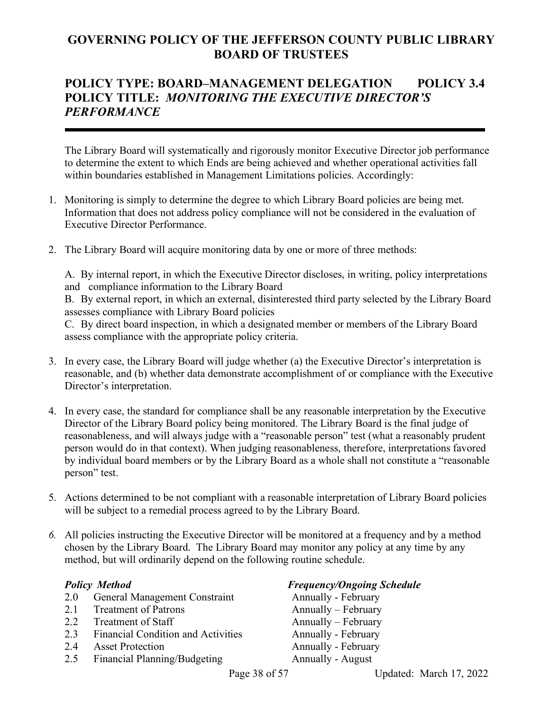## **POLICY TYPE: BOARD***–***MANAGEMENT DELEGATION POLICY 3.4 POLICY TITLE:** *MONITORING THE EXECUTIVE DIRECTOR'S PERFORMANCE*

The Library Board will systematically and rigorously monitor Executive Director job performance to determine the extent to which Ends are being achieved and whether operational activities fall within boundaries established in Management Limitations policies. Accordingly:

- 1. Monitoring is simply to determine the degree to which Library Board policies are being met. Information that does not address policy compliance will not be considered in the evaluation of Executive Director Performance.
- 2. The Library Board will acquire monitoring data by one or more of three methods:

A. By internal report, in which the Executive Director discloses, in writing, policy interpretations and compliance information to the Library Board

B. By external report, in which an external, disinterested third party selected by the Library Board assesses compliance with Library Board policies

C. By direct board inspection, in which a designated member or members of the Library Board assess compliance with the appropriate policy criteria.

- 3. In every case, the Library Board will judge whether (a) the Executive Director's interpretation is reasonable, and (b) whether data demonstrate accomplishment of or compliance with the Executive Director's interpretation.
- 4. In every case, the standard for compliance shall be any reasonable interpretation by the Executive Director of the Library Board policy being monitored. The Library Board is the final judge of reasonableness, and will always judge with a "reasonable person" test (what a reasonably prudent person would do in that context). When judging reasonableness, therefore, interpretations favored by individual board members or by the Library Board as a whole shall not constitute a "reasonable person" test.
- 5. Actions determined to be not compliant with a reasonable interpretation of Library Board policies will be subject to a remedial process agreed to by the Library Board.
- *6.* All policies instructing the Executive Director will be monitored at a frequency and by a method chosen by the Library Board. The Library Board may monitor any policy at any time by any method, but will ordinarily depend on the following routine schedule.

- 2.0 General Management Constraint Annually February
- 2.1 Treatment of Patrons Annually February
- 
- 2.3 Financial Condition and Activities
- 2.4 Asset Protection **Annually February**
- 2.5 Financial Planning/Budgeting Annually August

## **Policy** *Method* **Frequency/Ongoing Schedule**

2.2 Treatment of Staff Annually – February<br>2.3 Financial Condition and Activities Annually - February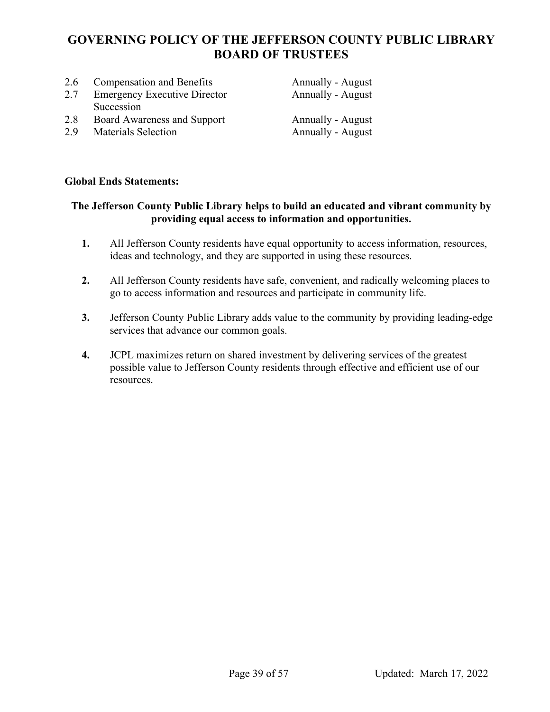| 2.6<br>2.7 | <b>Compensation and Benefits</b><br><b>Emergency Executive Director</b> | <b>Annually - August</b><br>Annually - August |
|------------|-------------------------------------------------------------------------|-----------------------------------------------|
| 2.8        | Succession<br>Board Awareness and Support                               | <b>Annually - August</b>                      |
| 2.9        | <b>Materials Selection</b>                                              | Annually - August                             |

## **Global Ends Statements:**

## **The Jefferson County Public Library helps to build an educated and vibrant community by providing equal access to information and opportunities.**

- **1.** All Jefferson County residents have equal opportunity to access information, resources, ideas and technology, and they are supported in using these resources.
- **2.** All Jefferson County residents have safe, convenient, and radically welcoming places to go to access information and resources and participate in community life.
- **3.** Jefferson County Public Library adds value to the community by providing leading-edge services that advance our common goals.
- **4.** JCPL maximizes return on shared investment by delivering services of the greatest possible value to Jefferson County residents through effective and efficient use of our resources.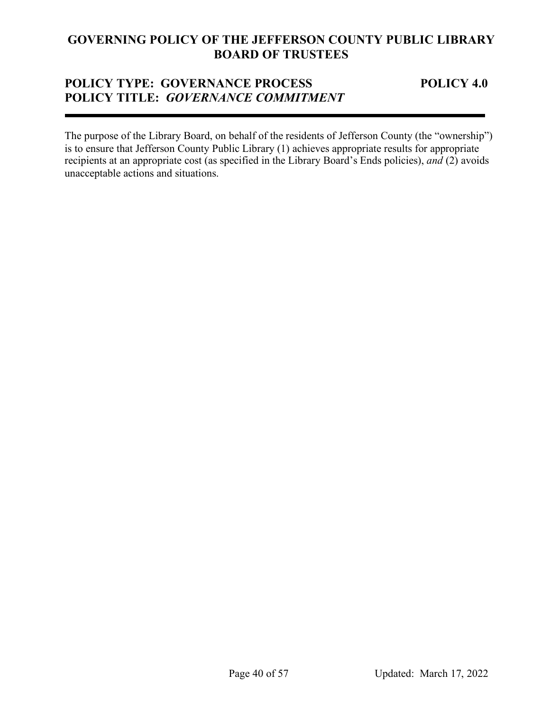## **POLICY TYPE: GOVERNANCE PROCESS POLICY 4.0 POLICY TITLE:** *GOVERNANCE COMMITMENT*

The purpose of the Library Board, on behalf of the residents of Jefferson County (the "ownership") is to ensure that Jefferson County Public Library (1) achieves appropriate results for appropriate recipients at an appropriate cost (as specified in the Library Board's Ends policies), *and* (2) avoids unacceptable actions and situations.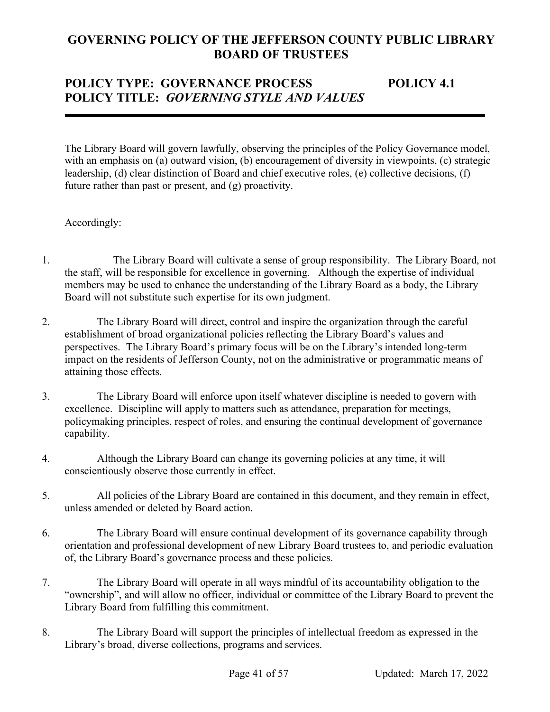# POLICY TYPE: GOVERNANCE PROCESS POLICY 4.1 **POLICY TITLE:** *GOVERNING STYLE AND VALUES*

The Library Board will govern lawfully, observing the principles of the Policy Governance model, with an emphasis on (a) outward vision, (b) encouragement of diversity in viewpoints, (c) strategic leadership, (d) clear distinction of Board and chief executive roles, (e) collective decisions, (f) future rather than past or present, and (g) proactivity.

- 1. The Library Board will cultivate a sense of group responsibility. The Library Board, not the staff, will be responsible for excellence in governing. Although the expertise of individual members may be used to enhance the understanding of the Library Board as a body, the Library Board will not substitute such expertise for its own judgment.
- 2. The Library Board will direct, control and inspire the organization through the careful establishment of broad organizational policies reflecting the Library Board's values and perspectives. The Library Board's primary focus will be on the Library's intended long-term impact on the residents of Jefferson County, not on the administrative or programmatic means of attaining those effects.
- 3. The Library Board will enforce upon itself whatever discipline is needed to govern with excellence. Discipline will apply to matters such as attendance, preparation for meetings, policymaking principles, respect of roles, and ensuring the continual development of governance capability.
- 4. Although the Library Board can change its governing policies at any time, it will conscientiously observe those currently in effect.
- 5. All policies of the Library Board are contained in this document, and they remain in effect, unless amended or deleted by Board action.
- 6. The Library Board will ensure continual development of its governance capability through orientation and professional development of new Library Board trustees to, and periodic evaluation of, the Library Board's governance process and these policies.
- 7. The Library Board will operate in all ways mindful of its accountability obligation to the "ownership", and will allow no officer, individual or committee of the Library Board to prevent the Library Board from fulfilling this commitment.
- 8. The Library Board will support the principles of intellectual freedom as expressed in the Library's broad, diverse collections, programs and services.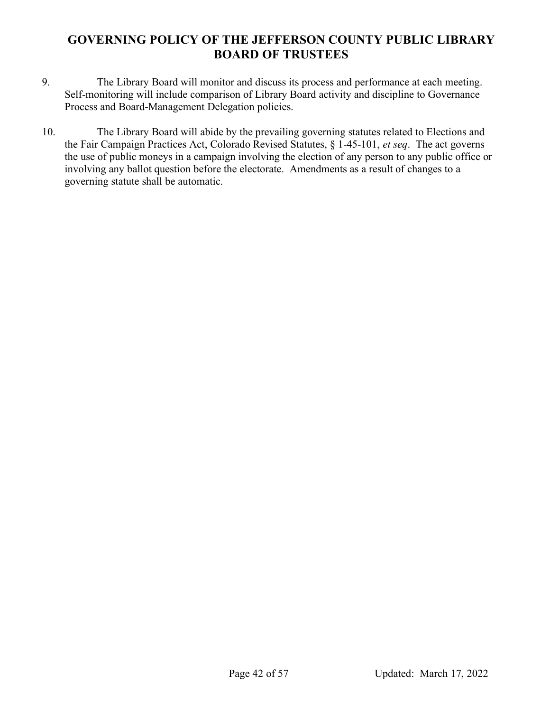- 9. The Library Board will monitor and discuss its process and performance at each meeting. Self-monitoring will include comparison of Library Board activity and discipline to Governance Process and Board-Management Delegation policies.
- 10. The Library Board will abide by the prevailing governing statutes related to Elections and the Fair Campaign Practices Act, Colorado Revised Statutes, § 1-45-101, *et seq*. The act governs the use of public moneys in a campaign involving the election of any person to any public office or involving any ballot question before the electorate. Amendments as a result of changes to a governing statute shall be automatic.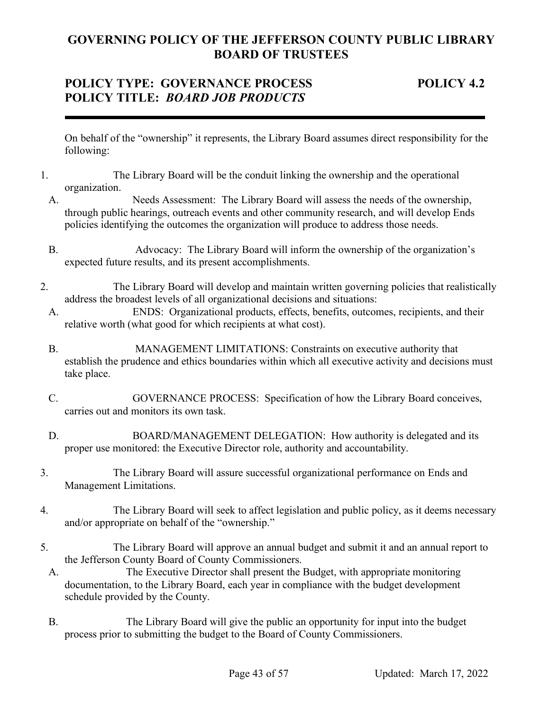## **POLICY TYPE: GOVERNANCE PROCESS POLICY 4.2 POLICY TITLE:** *BOARD JOB PRODUCTS*

On behalf of the "ownership" it represents, the Library Board assumes direct responsibility for the following:

- 1. The Library Board will be the conduit linking the ownership and the operational organization.
	- A. Needs Assessment: The Library Board will assess the needs of the ownership, through public hearings, outreach events and other community research, and will develop Ends policies identifying the outcomes the organization will produce to address those needs.
	- B. Advocacy: The Library Board will inform the ownership of the organization's expected future results, and its present accomplishments.
- 2. The Library Board will develop and maintain written governing policies that realistically address the broadest levels of all organizational decisions and situations:
	- A. ENDS: Organizational products, effects, benefits, outcomes, recipients, and their relative worth (what good for which recipients at what cost).
	- B. MANAGEMENT LIMITATIONS: Constraints on executive authority that establish the prudence and ethics boundaries within which all executive activity and decisions must take place.
	- C. GOVERNANCE PROCESS: Specification of how the Library Board conceives, carries out and monitors its own task.
	- D. BOARD/MANAGEMENT DELEGATION: How authority is delegated and its proper use monitored: the Executive Director role, authority and accountability.
- 3. The Library Board will assure successful organizational performance on Ends and Management Limitations.
- 4. The Library Board will seek to affect legislation and public policy, as it deems necessary and/or appropriate on behalf of the "ownership."
- 5. The Library Board will approve an annual budget and submit it and an annual report to the Jefferson County Board of County Commissioners.
- A. The Executive Director shall present the Budget, with appropriate monitoring documentation, to the Library Board, each year in compliance with the budget development schedule provided by the County.
- B. The Library Board will give the public an opportunity for input into the budget process prior to submitting the budget to the Board of County Commissioners.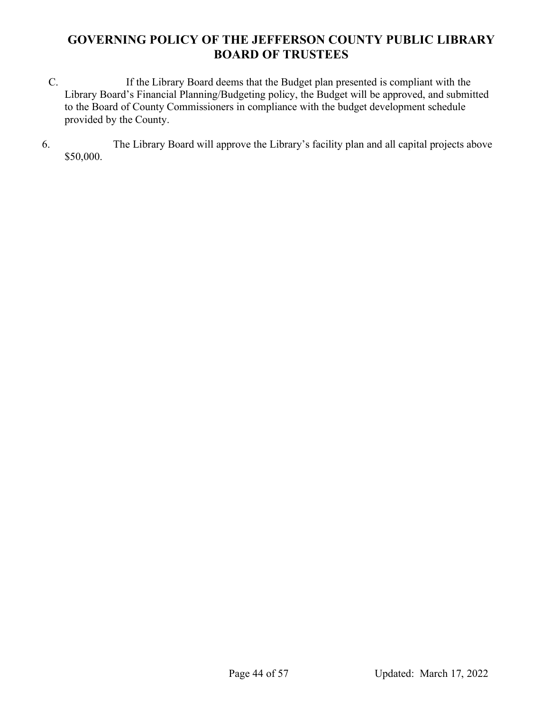- C. If the Library Board deems that the Budget plan presented is compliant with the Library Board's Financial Planning/Budgeting policy, the Budget will be approved, and submitted to the Board of County Commissioners in compliance with the budget development schedule provided by the County.
- 6. The Library Board will approve the Library's facility plan and all capital projects above \$50,000.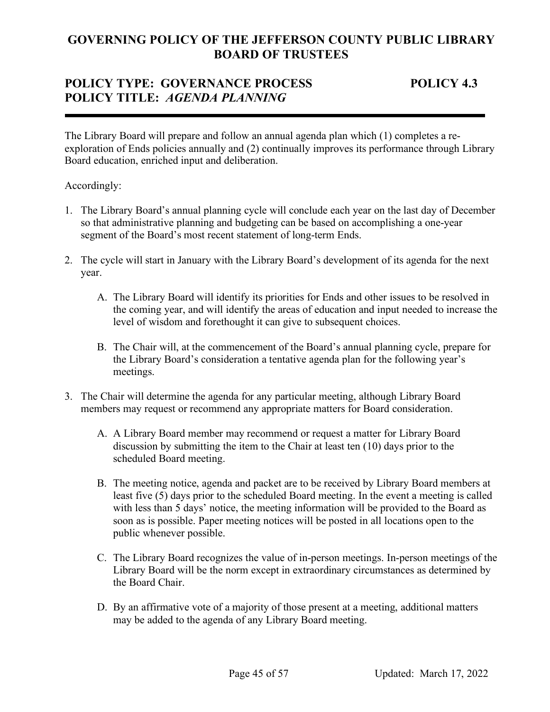## **POLICY TYPE: GOVERNANCE PROCESS POLICY 4.3 POLICY TITLE:** *AGENDA PLANNING*

The Library Board will prepare and follow an annual agenda plan which (1) completes a reexploration of Ends policies annually and (2) continually improves its performance through Library Board education, enriched input and deliberation.

- 1. The Library Board's annual planning cycle will conclude each year on the last day of December so that administrative planning and budgeting can be based on accomplishing a one-year segment of the Board's most recent statement of long-term Ends.
- 2. The cycle will start in January with the Library Board's development of its agenda for the next year.
	- A. The Library Board will identify its priorities for Ends and other issues to be resolved in the coming year, and will identify the areas of education and input needed to increase the level of wisdom and forethought it can give to subsequent choices.
	- B. The Chair will, at the commencement of the Board's annual planning cycle, prepare for the Library Board's consideration a tentative agenda plan for the following year's meetings.
- 3. The Chair will determine the agenda for any particular meeting, although Library Board members may request or recommend any appropriate matters for Board consideration.
	- A. A Library Board member may recommend or request a matter for Library Board discussion by submitting the item to the Chair at least ten (10) days prior to the scheduled Board meeting.
	- B. The meeting notice, agenda and packet are to be received by Library Board members at least five (5) days prior to the scheduled Board meeting. In the event a meeting is called with less than 5 days' notice, the meeting information will be provided to the Board as soon as is possible. Paper meeting notices will be posted in all locations open to the public whenever possible.
	- C. The Library Board recognizes the value of in-person meetings. In-person meetings of the Library Board will be the norm except in extraordinary circumstances as determined by the Board Chair.
	- D. By an affirmative vote of a majority of those present at a meeting, additional matters may be added to the agenda of any Library Board meeting.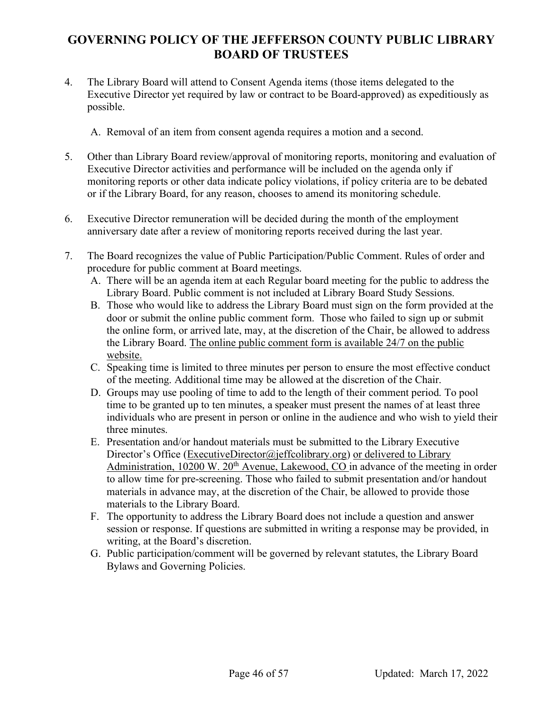- 4. The Library Board will attend to Consent Agenda items (those items delegated to the Executive Director yet required by law or contract to be Board-approved) as expeditiously as possible.
	- A. Removal of an item from consent agenda requires a motion and a second.
- 5. Other than Library Board review/approval of monitoring reports, monitoring and evaluation of Executive Director activities and performance will be included on the agenda only if monitoring reports or other data indicate policy violations, if policy criteria are to be debated or if the Library Board, for any reason, chooses to amend its monitoring schedule.
- 6. Executive Director remuneration will be decided during the month of the employment anniversary date after a review of monitoring reports received during the last year.
- 7. The Board recognizes the value of Public Participation/Public Comment. Rules of order and procedure for public comment at Board meetings.
	- A. There will be an agenda item at each Regular board meeting for the public to address the Library Board. Public comment is not included at Library Board Study Sessions.
	- B. Those who would like to address the Library Board must sign on the form provided at the door or submit the online public comment form. Those who failed to sign up or submit the online form, or arrived late, may, at the discretion of the Chair, be allowed to address the Library Board. The online public comment form is available 24/7 on the public website.
	- C. Speaking time is limited to three minutes per person to ensure the most effective conduct of the meeting. Additional time may be allowed at the discretion of the Chair.
	- D. Groups may use pooling of time to add to the length of their comment period. To pool time to be granted up to ten minutes, a speaker must present the names of at least three individuals who are present in person or online in the audience and who wish to yield their three minutes.
	- E. Presentation and/or handout materials must be submitted to the Library Executive Director's Office [\(ExecutiveDirector@jeffcolibrary.org\)](mailto:ExecutiveDirector@jeffcolibrary.org) or delivered to Library Administration,  $10200 \text{ W}$ .  $20^{\text{th}}$  Avenue, Lakewood, CO in advance of the meeting in order to allow time for pre-screening. Those who failed to submit presentation and/or handout materials in advance may, at the discretion of the Chair, be allowed to provide those materials to the Library Board.
	- F. The opportunity to address the Library Board does not include a question and answer session or response. If questions are submitted in writing a response may be provided, in writing, at the Board's discretion.
	- G. Public participation/comment will be governed by relevant statutes, the Library Board Bylaws and Governing Policies.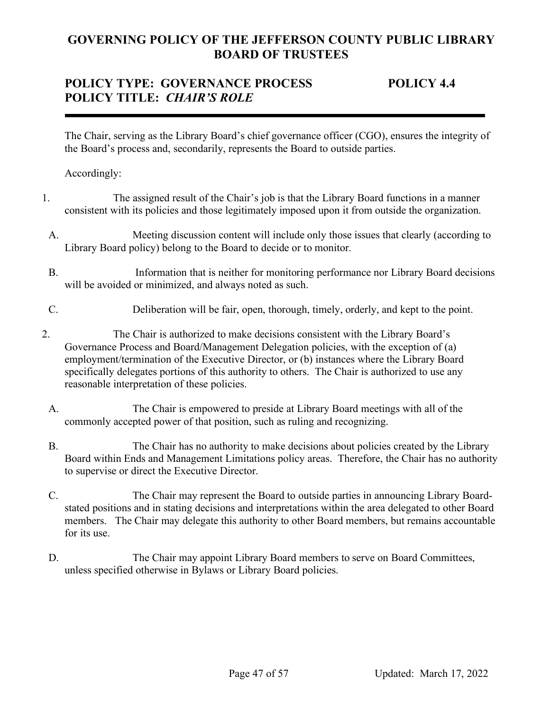# **POLICY TYPE: GOVERNANCE PROCESS POLICY 4.4 POLICY TITLE:** *CHAIR'S ROLE*

The Chair, serving as the Library Board's chief governance officer (CGO), ensures the integrity of the Board's process and, secondarily, represents the Board to outside parties.

- 1. The assigned result of the Chair's job is that the Library Board functions in a manner consistent with its policies and those legitimately imposed upon it from outside the organization.
- A. Meeting discussion content will include only those issues that clearly (according to Library Board policy) belong to the Board to decide or to monitor.
- B. Information that is neither for monitoring performance nor Library Board decisions will be avoided or minimized, and always noted as such.
- C. Deliberation will be fair, open, thorough, timely, orderly, and kept to the point.
- 2. The Chair is authorized to make decisions consistent with the Library Board's Governance Process and Board/Management Delegation policies, with the exception of (a) employment/termination of the Executive Director, or (b) instances where the Library Board specifically delegates portions of this authority to others. The Chair is authorized to use any reasonable interpretation of these policies.
	- A. The Chair is empowered to preside at Library Board meetings with all of the commonly accepted power of that position, such as ruling and recognizing.
	- B. The Chair has no authority to make decisions about policies created by the Library Board within Ends and Management Limitations policy areas. Therefore, the Chair has no authority to supervise or direct the Executive Director.
	- C. The Chair may represent the Board to outside parties in announcing Library Boardstated positions and in stating decisions and interpretations within the area delegated to other Board members. The Chair may delegate this authority to other Board members, but remains accountable for its use.
	- D. The Chair may appoint Library Board members to serve on Board Committees, unless specified otherwise in Bylaws or Library Board policies.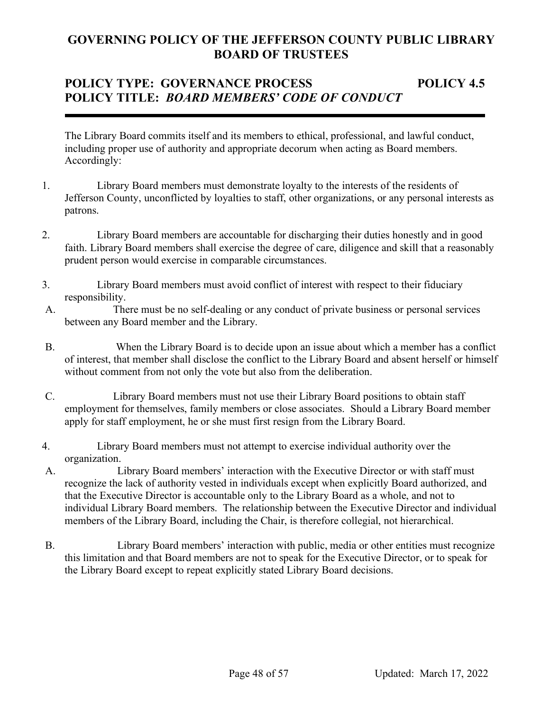# **POLICY TYPE: GOVERNANCE PROCESS POLICY 4.5 POLICY TITLE:** *BOARD MEMBERS' CODE OF CONDUCT*

The Library Board commits itself and its members to ethical, professional, and lawful conduct, including proper use of authority and appropriate decorum when acting as Board members. Accordingly:

- 1. Library Board members must demonstrate loyalty to the interests of the residents of Jefferson County, unconflicted by loyalties to staff, other organizations, or any personal interests as patrons.
- 2. Library Board members are accountable for discharging their duties honestly and in good faith. Library Board members shall exercise the degree of care, diligence and skill that a reasonably prudent person would exercise in comparable circumstances.
- 3. Library Board members must avoid conflict of interest with respect to their fiduciary responsibility.
- A. There must be no self-dealing or any conduct of private business or personal services between any Board member and the Library.
- B. When the Library Board is to decide upon an issue about which a member has a conflict of interest, that member shall disclose the conflict to the Library Board and absent herself or himself without comment from not only the vote but also from the deliberation.
- C. Library Board members must not use their Library Board positions to obtain staff employment for themselves, family members or close associates. Should a Library Board member apply for staff employment, he or she must first resign from the Library Board.
- 4. Library Board members must not attempt to exercise individual authority over the organization.
- A. Library Board members' interaction with the Executive Director or with staff must recognize the lack of authority vested in individuals except when explicitly Board authorized, and that the Executive Director is accountable only to the Library Board as a whole, and not to individual Library Board members. The relationship between the Executive Director and individual members of the Library Board, including the Chair, is therefore collegial, not hierarchical.
- B. Library Board members' interaction with public, media or other entities must recognize this limitation and that Board members are not to speak for the Executive Director, or to speak for the Library Board except to repeat explicitly stated Library Board decisions.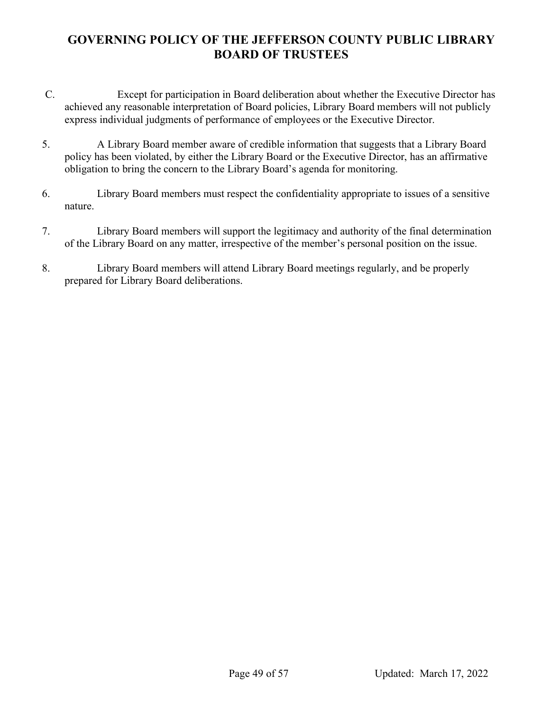- C. Except for participation in Board deliberation about whether the Executive Director has achieved any reasonable interpretation of Board policies, Library Board members will not publicly express individual judgments of performance of employees or the Executive Director.
- 5. A Library Board member aware of credible information that suggests that a Library Board policy has been violated, by either the Library Board or the Executive Director, has an affirmative obligation to bring the concern to the Library Board's agenda for monitoring.
- 6. Library Board members must respect the confidentiality appropriate to issues of a sensitive nature.
- 7. Library Board members will support the legitimacy and authority of the final determination of the Library Board on any matter, irrespective of the member's personal position on the issue.
- 8. Library Board members will attend Library Board meetings regularly, and be properly prepared for Library Board deliberations.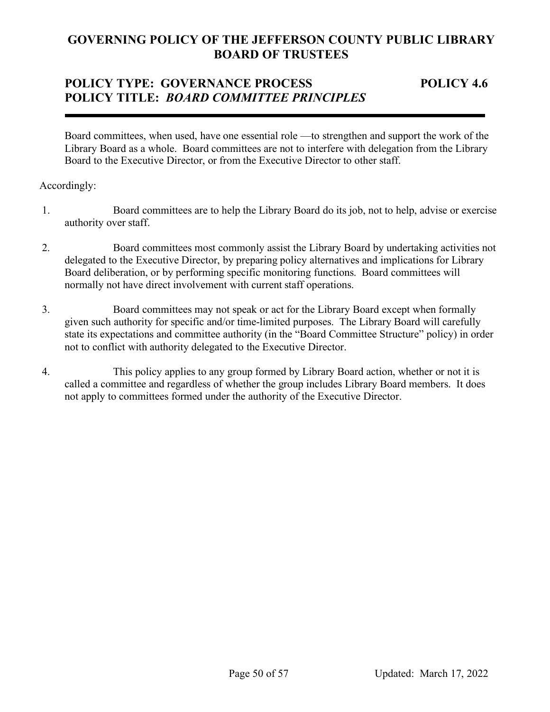# **POLICY TYPE: GOVERNANCE PROCESS POLICY 4.6 POLICY TITLE:** *BOARD COMMITTEE PRINCIPLES*

Board committees, when used, have one essential role —to strengthen and support the work of the Library Board as a whole. Board committees are not to interfere with delegation from the Library Board to the Executive Director, or from the Executive Director to other staff.

- 1. Board committees are to help the Library Board do its job, not to help, advise or exercise authority over staff.
- 2. Board committees most commonly assist the Library Board by undertaking activities not delegated to the Executive Director, by preparing policy alternatives and implications for Library Board deliberation, or by performing specific monitoring functions. Board committees will normally not have direct involvement with current staff operations.
- 3. Board committees may not speak or act for the Library Board except when formally given such authority for specific and/or time-limited purposes. The Library Board will carefully state its expectations and committee authority (in the "Board Committee Structure" policy) in order not to conflict with authority delegated to the Executive Director.
- 4. This policy applies to any group formed by Library Board action, whether or not it is called a committee and regardless of whether the group includes Library Board members. It does not apply to committees formed under the authority of the Executive Director.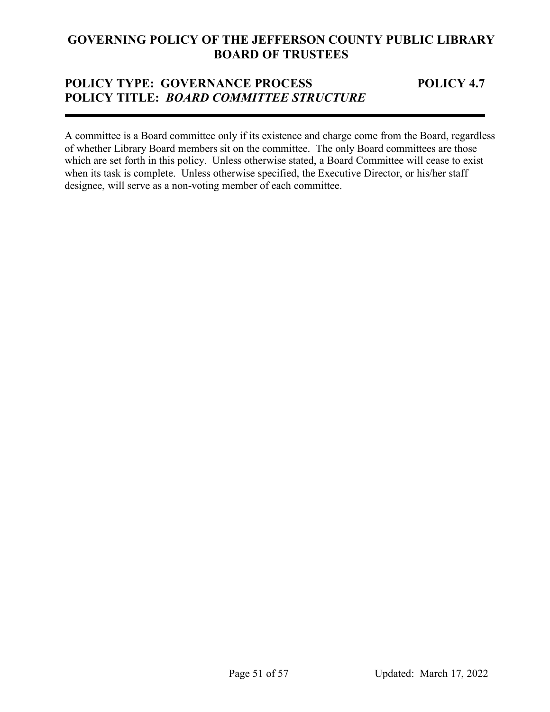## **POLICY TYPE: GOVERNANCE PROCESS POLICY 4.7 POLICY TITLE:** *BOARD COMMITTEE STRUCTURE*

A committee is a Board committee only if its existence and charge come from the Board, regardless of whether Library Board members sit on the committee. The only Board committees are those which are set forth in this policy. Unless otherwise stated, a Board Committee will cease to exist when its task is complete. Unless otherwise specified, the Executive Director, or his/her staff designee, will serve as a non-voting member of each committee.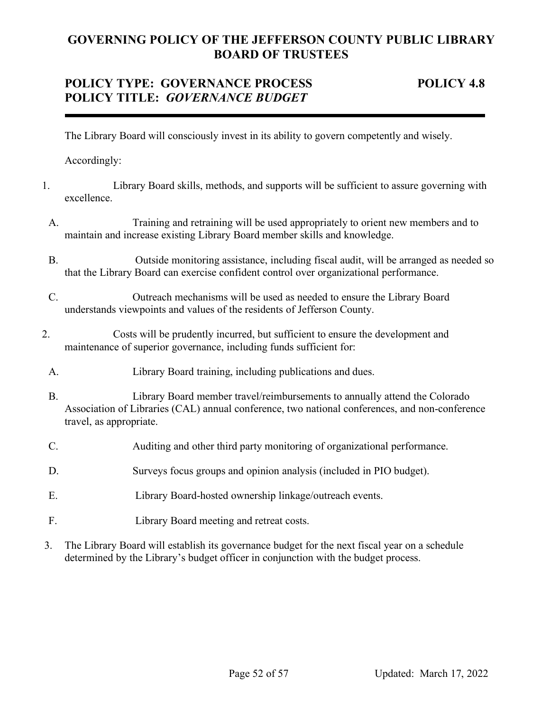# **POLICY TYPE: GOVERNANCE PROCESS POLICY 4.8 POLICY TITLE:** *GOVERNANCE BUDGET*

The Library Board will consciously invest in its ability to govern competently and wisely.

- 1. Library Board skills, methods, and supports will be sufficient to assure governing with excellence.
	- A. Training and retraining will be used appropriately to orient new members and to maintain and increase existing Library Board member skills and knowledge.
	- B. Outside monitoring assistance, including fiscal audit, will be arranged as needed so that the Library Board can exercise confident control over organizational performance.
- C. Outreach mechanisms will be used as needed to ensure the Library Board understands viewpoints and values of the residents of Jefferson County.
- 2. Costs will be prudently incurred, but sufficient to ensure the development and maintenance of superior governance, including funds sufficient for:
- A. Library Board training, including publications and dues.
- B. Library Board member travel/reimbursements to annually attend the Colorado Association of Libraries (CAL) annual conference, two national conferences, and non-conference travel, as appropriate.
- C. Auditing and other third party monitoring of organizational performance.
- D. Surveys focus groups and opinion analysis (included in PIO budget).
- E. Library Board-hosted ownership linkage/outreach events.
- F. Library Board meeting and retreat costs.
- 3. The Library Board will establish its governance budget for the next fiscal year on a schedule determined by the Library's budget officer in conjunction with the budget process.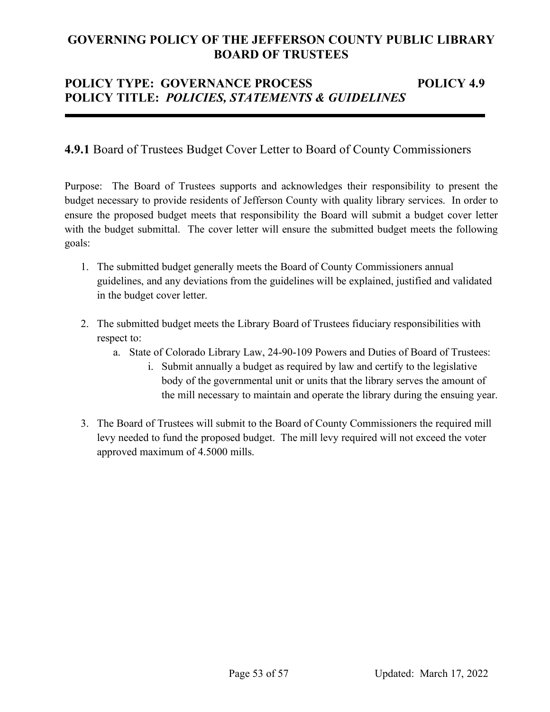# **POLICY TYPE: GOVERNANCE PROCESS POLICY 4.9 POLICY TITLE:** *POLICIES, STATEMENTS & GUIDELINES*

## **4.9.1** Board of Trustees Budget Cover Letter to Board of County Commissioners

Purpose: The Board of Trustees supports and acknowledges their responsibility to present the budget necessary to provide residents of Jefferson County with quality library services. In order to ensure the proposed budget meets that responsibility the Board will submit a budget cover letter with the budget submittal. The cover letter will ensure the submitted budget meets the following goals:

- 1. The submitted budget generally meets the Board of County Commissioners annual guidelines, and any deviations from the guidelines will be explained, justified and validated in the budget cover letter.
- 2. The submitted budget meets the Library Board of Trustees fiduciary responsibilities with respect to:
	- a. State of Colorado Library Law, 24-90-109 Powers and Duties of Board of Trustees:
		- i. Submit annually a budget as required by law and certify to the legislative body of the governmental unit or units that the library serves the amount of the mill necessary to maintain and operate the library during the ensuing year.
- 3. The Board of Trustees will submit to the Board of County Commissioners the required mill levy needed to fund the proposed budget. The mill levy required will not exceed the voter approved maximum of 4.5000 mills.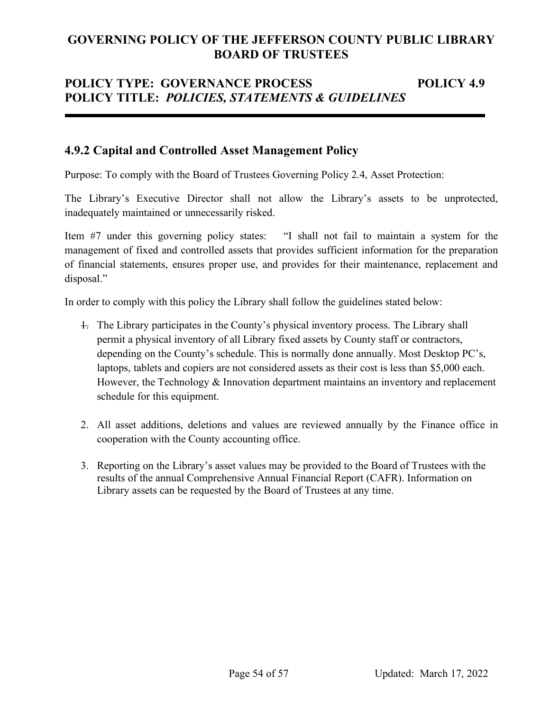# **POLICY TYPE: GOVERNANCE PROCESS POLICY 4.9 POLICY TITLE:** *POLICIES, STATEMENTS & GUIDELINES*

## **4.9.2 Capital and Controlled Asset Management Policy**

Purpose: To comply with the Board of Trustees Governing Policy 2.4, Asset Protection:

The Library's Executive Director shall not allow the Library's assets to be unprotected, inadequately maintained or unnecessarily risked.

Item #7 under this governing policy states: "I shall not fail to maintain a system for the management of fixed and controlled assets that provides sufficient information for the preparation of financial statements, ensures proper use, and provides for their maintenance, replacement and disposal."

In order to comply with this policy the Library shall follow the guidelines stated below:

- 1. The Library participates in the County's physical inventory process. The Library shall permit a physical inventory of all Library fixed assets by County staff or contractors, depending on the County's schedule. This is normally done annually. Most Desktop PC's, laptops, tablets and copiers are not considered assets as their cost is less than \$5,000 each. However, the Technology & Innovation department maintains an inventory and replacement schedule for this equipment.
- 2. All asset additions, deletions and values are reviewed annually by the Finance office in cooperation with the County accounting office.
- 3. Reporting on the Library's asset values may be provided to the Board of Trustees with the results of the annual Comprehensive Annual Financial Report (CAFR). Information on Library assets can be requested by the Board of Trustees at any time.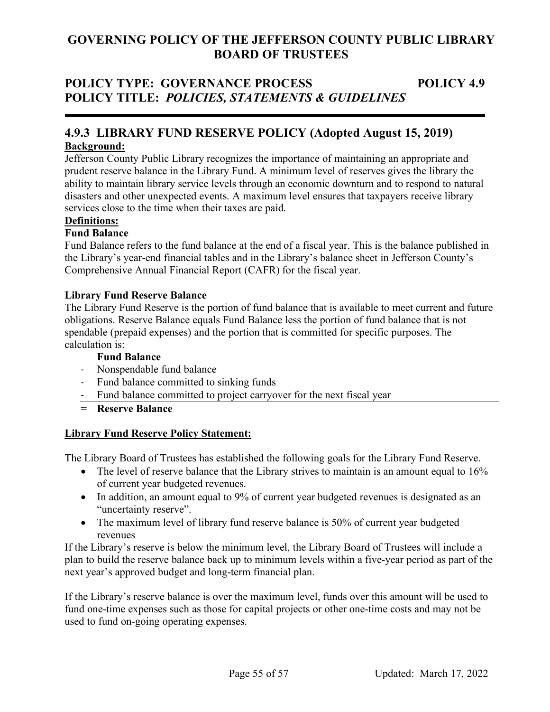# **POLICY TYPE: GOVERNANCE PROCESS POLICY 4.9 POLICY TITLE:** *POLICIES, STATEMENTS & GUIDELINES*

## **4.9.3 LIBRARY FUND RESERVE POLICY (Adopted August 15, 2019) Background:**

Jefferson County Public Library recognizes the importance of maintaining an appropriate and prudent reserve balance in the Library Fund. A minimum level of reserves gives the library the ability to maintain library service levels through an economic downturn and to respond to natural disasters and other unexpected events. A maximum level ensures that taxpayers receive library services close to the time when their taxes are paid.

## **Definitions:**

## **Fund Balance**

Fund Balance refers to the fund balance at the end of a fiscal year. This is the balance published in the Library's year-end financial tables and in the Library's balance sheet in Jefferson County's Comprehensive Annual Financial Report (CAFR) for the fiscal year.

#### **Library Fund Reserve Balance**

The Library Fund Reserve is the portion of fund balance that is available to meet current and future obligations. Reserve Balance equals Fund Balance less the portion of fund balance that is not spendable (prepaid expenses) and the portion that is committed for specific purposes. The calculation is:

#### **Fund Balance**

- Nonspendable fund balance
- Fund balance committed to sinking funds
- Fund balance committed to project carryover for the next fiscal year
- = **Reserve Balance**

#### **Library Fund Reserve Policy Statement:**

The Library Board of Trustees has established the following goals for the Library Fund Reserve.

- The level of reserve balance that the Library strives to maintain is an amount equal to 16% of current year budgeted revenues.
- In addition, an amount equal to 9% of current year budgeted revenues is designated as an "uncertainty reserve".
- The maximum level of library fund reserve balance is 50% of current year budgeted revenues

If the Library's reserve is below the minimum level, the Library Board of Trustees will include a plan to build the reserve balance back up to minimum levels within a five-year period as part of the next year's approved budget and long-term financial plan.

If the Library's reserve balance is over the maximum level, funds over this amount will be used to fund one-time expenses such as those for capital projects or other one-time costs and may not be used to fund on-going operating expenses.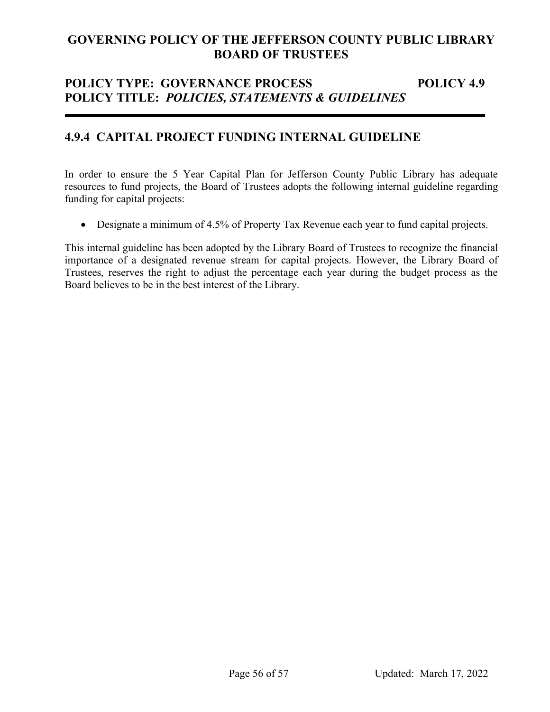# **POLICY TYPE: GOVERNANCE PROCESS POLICY 4.9 POLICY TITLE:** *POLICIES, STATEMENTS & GUIDELINES*

## **4.9.4 CAPITAL PROJECT FUNDING INTERNAL GUIDELINE**

In order to ensure the 5 Year Capital Plan for Jefferson County Public Library has adequate resources to fund projects, the Board of Trustees adopts the following internal guideline regarding funding for capital projects:

• Designate a minimum of 4.5% of Property Tax Revenue each year to fund capital projects.

This internal guideline has been adopted by the Library Board of Trustees to recognize the financial importance of a designated revenue stream for capital projects. However, the Library Board of Trustees, reserves the right to adjust the percentage each year during the budget process as the Board believes to be in the best interest of the Library.